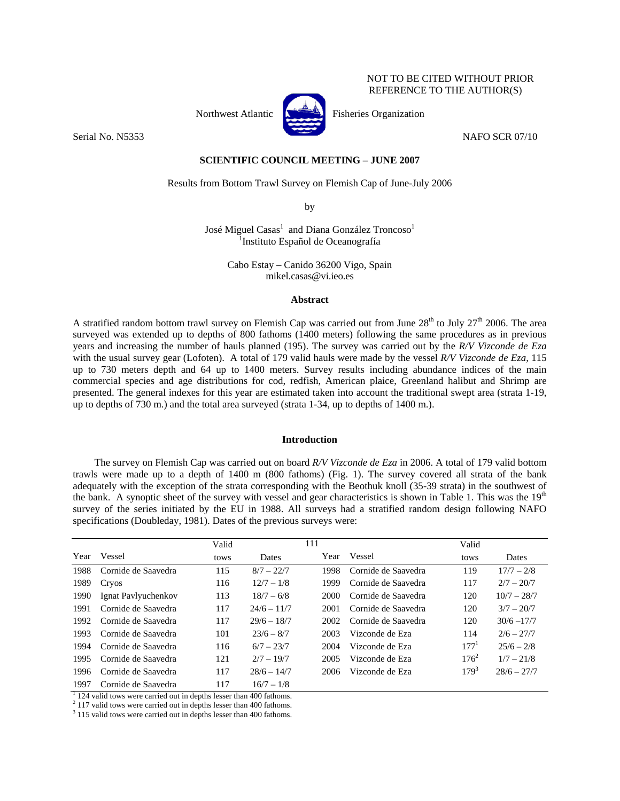# NOT TO BE CITED WITHOUT PRIOR REFERENCE TO THE AUTHOR(S)



Northwest Atlantic Fisheries Organization

Serial No. N5353 NAFO SCR 07/10

# **SCIENTIFIC COUNCIL MEETING – JUNE 2007**

Results from Bottom Trawl Survey on Flemish Cap of June-July 2006

by

José Miguel Casas $^1$  and Diana González Troncoso $^1$ <sup>1</sup>Instituto Español de Oceanografía

> Cabo Estay – Canido 36200 Vigo, Spain mikel.casas@vi.ieo.es

## **Abstract**

A stratified random bottom trawl survey on Flemish Cap was carried out from June  $28<sup>th</sup>$  to July  $27<sup>th</sup>$  2006. The area surveyed was extended up to depths of 800 fathoms (1400 meters) following the same procedures as in previous years and increasing the number of hauls planned (195). The survey was carried out by the *R/V Vizconde de Eza* with the usual survey gear (Lofoten). A total of 179 valid hauls were made by the vessel *R/V Vizconde de Eza,* 115 up to 730 meters depth and 64 up to 1400 meters. Survey results including abundance indices of the main commercial species and age distributions for cod, redfish, American plaice, Greenland halibut and Shrimp are presented. The general indexes for this year are estimated taken into account the traditional swept area (strata 1-19, up to depths of 730 m.) and the total area surveyed (strata 1-34, up to depths of 1400 m.).

## **Introduction**

The survey on Flemish Cap was carried out on board *R/V Vizconde de Eza* in 2006. A total of 179 valid bottom trawls were made up to a depth of 1400 m (800 fathoms) (Fig. 1). The survey covered all strata of the bank adequately with the exception of the strata corresponding with the Beothuk knoll (35-39 strata) in the southwest of the bank. A synoptic sheet of the survey with vessel and gear characteristics is shown in Table 1. This was the 19<sup>th</sup> survey of the series initiated by the EU in 1988. All surveys had a stratified random design following NAFO specifications (Doubleday, 1981). Dates of the previous surveys were:

|      |                     | Valid |               | 111  |                     | Valid            |               |
|------|---------------------|-------|---------------|------|---------------------|------------------|---------------|
| Year | Vessel              | tows  | <b>Dates</b>  | Year | Vessel              | tows             | <b>Dates</b>  |
| 1988 | Cornide de Saavedra | 115   | $8/7 - 22/7$  | 1998 | Cornide de Saavedra | 119              | $17/7 - 2/8$  |
| 1989 | Cryos               | 116   | $12/7 - 1/8$  | 1999 | Cornide de Saavedra | 117              | $2/7 - 20/7$  |
| 1990 | Ignat Pavlyuchenkov | 113   | $18/7 - 6/8$  | 2000 | Cornide de Saavedra | 120              | $10/7 - 28/7$ |
| 1991 | Cornide de Saavedra | 117   | $24/6 - 11/7$ | 2001 | Cornide de Saavedra | 120              | $3/7 - 20/7$  |
| 1992 | Cornide de Saavedra | 117   | $29/6 - 18/7$ | 2002 | Cornide de Saavedra | 120              | $30/6 - 17/7$ |
| 1993 | Cornide de Saavedra | 101   | $23/6 - 8/7$  | 2003 | Vizconde de Eza     | 114              | $2/6 - 27/7$  |
| 1994 | Cornide de Saavedra | 116   | $6/7 - 23/7$  | 2004 | Vizconde de Eza     | 177 <sup>1</sup> | $25/6 - 2/8$  |
| 1995 | Cornide de Saavedra | 121   | $2/7 - 19/7$  | 2005 | Vizconde de Eza     | $176^2$          | $1/7 - 21/8$  |
| 1996 | Cornide de Saavedra | 117   | $28/6 - 14/7$ | 2006 | Vizconde de Eza     | $179^{3}$        | $28/6 - 27/7$ |
| 1997 | Cornide de Saavedra | 117   | $16/7 - 1/8$  |      |                     |                  |               |

<sup>1</sup> 124 valid tows were carried out in depths lesser than 400 fathoms.

<sup>2</sup> 117 valid tows were carried out in depths lesser than 400 fathoms.

<sup>3</sup> 115 valid tows were carried out in depths lesser than 400 fathoms.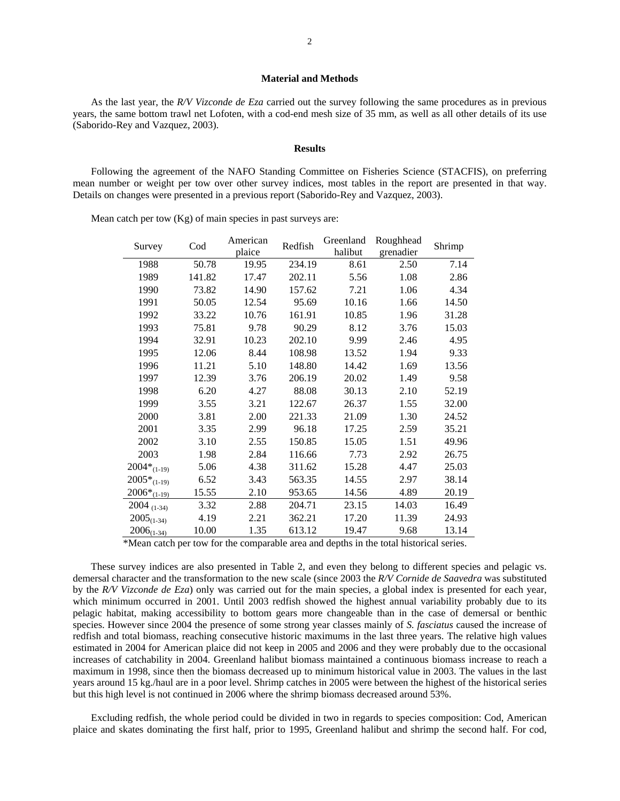## **Material and Methods**

As the last year, the *R/V Vizconde de Eza* carried out the survey following the same procedures as in previous years, the same bottom trawl net Lofoten, with a cod-end mesh size of 35 mm, as well as all other details of its use (Saborido-Rey and Vazquez, 2003).

#### **Results**

Following the agreement of the NAFO Standing Committee on Fisheries Science (STACFIS), on preferring mean number or weight per tow over other survey indices, most tables in the report are presented in that way. Details on changes were presented in a previous report (Saborido-Rey and Vazquez, 2003).

Mean catch per tow (Kg) of main species in past surveys are:

| Survey                      | Cod    | American | Redfish | Greenland | Roughhead | Shrimp |
|-----------------------------|--------|----------|---------|-----------|-----------|--------|
|                             |        | plaice   |         | halibut   | grenadier |        |
| 1988                        | 50.78  | 19.95    | 234.19  | 8.61      | 2.50      | 7.14   |
| 1989                        | 141.82 | 17.47    | 202.11  | 5.56      | 1.08      | 2.86   |
| 1990                        | 73.82  | 14.90    | 157.62  | 7.21      | 1.06      | 4.34   |
| 1991                        | 50.05  | 12.54    | 95.69   | 10.16     | 1.66      | 14.50  |
| 1992                        | 33.22  | 10.76    | 161.91  | 10.85     | 1.96      | 31.28  |
| 1993                        | 75.81  | 9.78     | 90.29   | 8.12      | 3.76      | 15.03  |
| 1994                        | 32.91  | 10.23    | 202.10  | 9.99      | 2.46      | 4.95   |
| 1995                        | 12.06  | 8.44     | 108.98  | 13.52     | 1.94      | 9.33   |
| 1996                        | 11.21  | 5.10     | 148.80  | 14.42     | 1.69      | 13.56  |
| 1997                        | 12.39  | 3.76     | 206.19  | 20.02     | 1.49      | 9.58   |
| 1998                        | 6.20   | 4.27     | 88.08   | 30.13     | 2.10      | 52.19  |
| 1999                        | 3.55   | 3.21     | 122.67  | 26.37     | 1.55      | 32.00  |
| 2000                        | 3.81   | 2.00     | 221.33  | 21.09     | 1.30      | 24.52  |
| 2001                        | 3.35   | 2.99     | 96.18   | 17.25     | 2.59      | 35.21  |
| 2002                        | 3.10   | 2.55     | 150.85  | 15.05     | 1.51      | 49.96  |
| 2003                        | 1.98   | 2.84     | 116.66  | 7.73      | 2.92      | 26.75  |
| $2004*_{(1-19)}$            | 5.06   | 4.38     | 311.62  | 15.28     | 4.47      | 25.03  |
| $2005*_{(1-19)}$            | 6.52   | 3.43     | 563.35  | 14.55     | 2.97      | 38.14  |
| $2006*_{(1-19)}$            | 15.55  | 2.10     | 953.65  | 14.56     | 4.89      | 20.19  |
| $2004$ (1-34)               | 3.32   | 2.88     | 204.71  | 23.15     | 14.03     | 16.49  |
| $2005_{(1-34)}$             | 4.19   | 2.21     | 362.21  | 17.20     | 11.39     | 24.93  |
| $2006_{(\underline{1-34})}$ | 10.00  | 1.35     | 613.12  | 19.47     | 9.68      | 13.14  |

\*Mean catch per tow for the comparable area and depths in the total historical series.

These survey indices are also presented in Table 2, and even they belong to different species and pelagic vs. demersal character and the transformation to the new scale (since 2003 the *R/V Cornide de Saavedra* was substituted by the *R/V Vizconde de Eza*) only was carried out for the main species, a global index is presented for each year, which minimum occurred in 2001. Until 2003 redfish showed the highest annual variability probably due to its pelagic habitat, making accessibility to bottom gears more changeable than in the case of demersal or benthic species. However since 2004 the presence of some strong year classes mainly of *S. fasciatus* caused the increase of redfish and total biomass, reaching consecutive historic maximums in the last three years. The relative high values estimated in 2004 for American plaice did not keep in 2005 and 2006 and they were probably due to the occasional increases of catchability in 2004. Greenland halibut biomass maintained a continuous biomass increase to reach a maximum in 1998, since then the biomass decreased up to minimum historical value in 2003. The values in the last years around 15 kg./haul are in a poor level. Shrimp catches in 2005 were between the highest of the historical series but this high level is not continued in 2006 where the shrimp biomass decreased around 53%.

Excluding redfish, the whole period could be divided in two in regards to species composition: Cod, American plaice and skates dominating the first half, prior to 1995, Greenland halibut and shrimp the second half. For cod,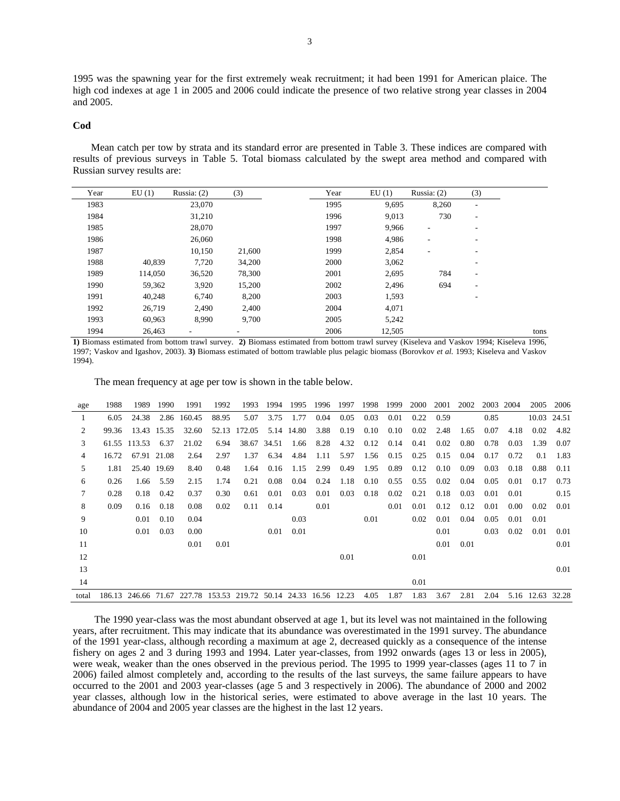1995 was the spawning year for the first extremely weak recruitment; it had been 1991 for American plaice. The high cod indexes at age 1 in 2005 and 2006 could indicate the presence of two relative strong year classes in 2004 and 2005.

#### **Cod**

Mean catch per tow by strata and its standard error are presented in Table 3. These indices are compared with results of previous surveys in Table 5. Total biomass calculated by the swept area method and compared with Russian survey results are:

| Year | EU(1)   | Russia: $(2)$            | (3)                      | Year | EU(1)  | Russia: $(2)$            | (3)                      |      |
|------|---------|--------------------------|--------------------------|------|--------|--------------------------|--------------------------|------|
| 1983 |         | 23,070                   |                          | 1995 | 9,695  | 8,260                    | $\overline{\phantom{a}}$ |      |
| 1984 |         | 31,210                   |                          | 1996 | 9,013  | 730                      | $\overline{\phantom{a}}$ |      |
| 1985 |         | 28,070                   |                          | 1997 | 9,966  | $\overline{\phantom{a}}$ | $\overline{\phantom{a}}$ |      |
| 1986 |         | 26,060                   |                          | 1998 | 4,986  | $\overline{\phantom{a}}$ | $\overline{\phantom{a}}$ |      |
| 1987 |         | 10,150                   | 21,600                   | 1999 | 2,854  | $\overline{\phantom{a}}$ | $\overline{\phantom{a}}$ |      |
| 1988 | 40,839  | 7,720                    | 34,200                   | 2000 | 3,062  |                          | $\overline{\phantom{a}}$ |      |
| 1989 | 114,050 | 36,520                   | 78,300                   | 2001 | 2,695  | 784                      | $\overline{\phantom{a}}$ |      |
| 1990 | 59,362  | 3,920                    | 15,200                   | 2002 | 2,496  | 694                      | $\overline{\phantom{a}}$ |      |
| 1991 | 40,248  | 6,740                    | 8,200                    | 2003 | 1,593  |                          | $\overline{\phantom{a}}$ |      |
| 1992 | 26,719  | 2,490                    | 2,400                    | 2004 | 4,071  |                          |                          |      |
| 1993 | 60,963  | 8,990                    | 9,700                    | 2005 | 5,242  |                          |                          |      |
| 1994 | 26,463  | $\overline{\phantom{a}}$ | $\overline{\phantom{a}}$ | 2006 | 12,505 |                          |                          | tons |

**1)** Biomass estimated from bottom trawl survey. **2)** Biomass estimated from bottom trawl survey (Kiseleva and Vaskov 1994; Kiseleva 1996, 1997; Vaskov and Igashov, 2003). **3)** Biomass estimated of bottom trawlable plus pelagic biomass (Borovkov *et al.* 1993; Kiseleva and Vaskov 1994).

The mean frequency at age per tow is shown in the table below.

| age   | 1988  | 1989                | 1990        | 1991   | 1992                                         | 1993   | 1994  | 1995  | 1996 | 1997 | 1998 | 1999 | 2000 | 2001 | 2002 | 2003 | 2004 | 2005        | 2006  |
|-------|-------|---------------------|-------------|--------|----------------------------------------------|--------|-------|-------|------|------|------|------|------|------|------|------|------|-------------|-------|
| 1     | 6.05  | 24.38               | 2.86        | 160.45 | 88.95                                        | 5.07   | 3.75  | 1.77  | 0.04 | 0.05 | 0.03 | 0.01 | 0.22 | 0.59 |      | 0.85 |      | 10.03 24.51 |       |
| 2     | 99.36 |                     | 13.43 15.35 | 32.60  | 52.13                                        | 172.05 | 5.14  | 14.80 | 3.88 | 0.19 | 0.10 | 0.10 | 0.02 | 2.48 | 1.65 | 0.07 | 4.18 | 0.02        | 4.82  |
| 3     |       | 61.55 113.53        | 6.37        | 21.02  | 6.94                                         | 38.67  | 34.51 | 1.66  | 8.28 | 4.32 | 0.12 | 0.14 | 0.41 | 0.02 | 0.80 | 0.78 | 0.03 | 1.39        | 0.07  |
| 4     | 16.72 | 67.91               | 21.08       | 2.64   | 2.97                                         | 1.37   | 6.34  | 4.84  | 1.11 | 5.97 | 1.56 | 0.15 | 0.25 | 0.15 | 0.04 | 0.17 | 0.72 | 0.1         | 1.83  |
| 5     | 1.81  |                     | 25.40 19.69 | 8.40   | 0.48                                         | 1.64   | 0.16  | 1.15  | 2.99 | 0.49 | 1.95 | 0.89 | 0.12 | 0.10 | 0.09 | 0.03 | 0.18 | 0.88        | 0.11  |
| 6     | 0.26  | 1.66                | 5.59        | 2.15   | 1.74                                         | 0.21   | 0.08  | 0.04  | 0.24 | 1.18 | 0.10 | 0.55 | 0.55 | 0.02 | 0.04 | 0.05 | 0.01 | 0.17        | 0.73  |
| 7     | 0.28  | 0.18                | 0.42        | 0.37   | 0.30                                         | 0.61   | 0.01  | 0.03  | 0.01 | 0.03 | 0.18 | 0.02 | 0.21 | 0.18 | 0.03 | 0.01 | 0.01 |             | 0.15  |
| 8     | 0.09  | 0.16                | 0.18        | 0.08   | 0.02                                         | 0.11   | 0.14  |       | 0.01 |      |      | 0.01 | 0.01 | 0.12 | 0.12 | 0.01 | 0.00 | 0.02        | 0.01  |
| 9     |       | 0.01                | 0.10        | 0.04   |                                              |        |       | 0.03  |      |      | 0.01 |      | 0.02 | 0.01 | 0.04 | 0.05 | 0.01 | 0.01        |       |
| 10    |       | 0.01                | 0.03        | 0.00   |                                              |        | 0.01  | 0.01  |      |      |      |      |      | 0.01 |      | 0.03 | 0.02 | 0.01        | 0.01  |
| 11    |       |                     |             | 0.01   | 0.01                                         |        |       |       |      |      |      |      |      | 0.01 | 0.01 |      |      |             | 0.01  |
| 12    |       |                     |             |        |                                              |        |       |       |      | 0.01 |      |      | 0.01 |      |      |      |      |             |       |
| 13    |       |                     |             |        |                                              |        |       |       |      |      |      |      |      |      |      |      |      |             | 0.01  |
| 14    |       |                     |             |        |                                              |        |       |       |      |      |      |      | 0.01 |      |      |      |      |             |       |
| total |       | 186.13 246.66 71.67 |             |        | 227.78 153.53 219.72 50.14 24.33 16.56 12.23 |        |       |       |      |      | 4.05 | 1.87 | 1.83 | 3.67 | 2.81 | 2.04 | 5.16 | 12.63       | 32.28 |

The 1990 year-class was the most abundant observed at age 1, but its level was not maintained in the following years, after recruitment. This may indicate that its abundance was overestimated in the 1991 survey. The abundance of the 1991 year-class, although recording a maximum at age 2, decreased quickly as a consequence of the intense fishery on ages 2 and 3 during 1993 and 1994. Later year-classes, from 1992 onwards (ages 13 or less in 2005), were weak, weaker than the ones observed in the previous period. The 1995 to 1999 year-classes (ages 11 to 7 in 2006) failed almost completely and, according to the results of the last surveys, the same failure appears to have occurred to the 2001 and 2003 year-classes (age 5 and 3 respectively in 2006). The abundance of 2000 and 2002 year classes, although low in the historical series, were estimated to above average in the last 10 years. The abundance of 2004 and 2005 year classes are the highest in the last 12 years.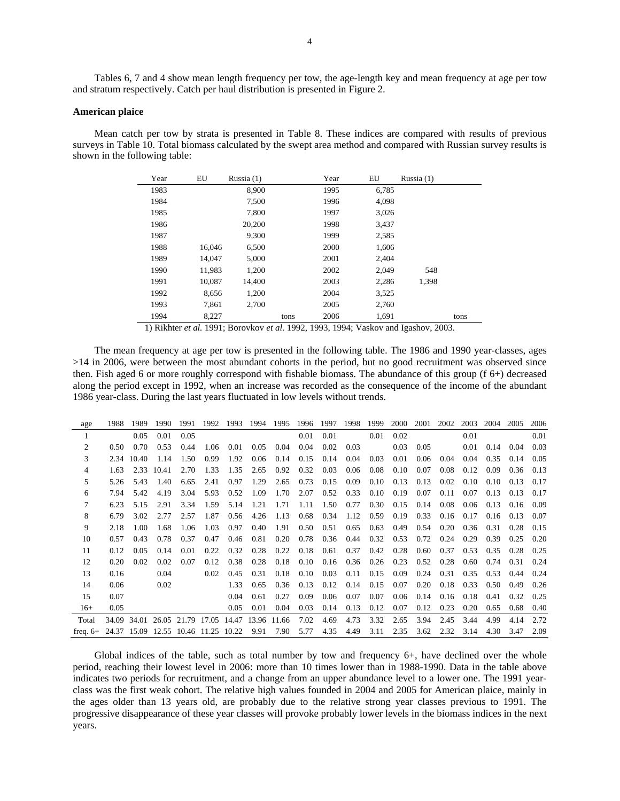Tables 6, 7 and 4 show mean length frequency per tow, the age-length key and mean frequency at age per tow and stratum respectively. Catch per haul distribution is presented in Figure 2.

#### **American plaice**

Mean catch per tow by strata is presented in Table 8. These indices are compared with results of previous surveys in Table 10. Total biomass calculated by the swept area method and compared with Russian survey results is shown in the following table:

| 1983<br>8,900<br>6,785<br>1995<br>1984<br>7,500<br>1996<br>4,098 |  |
|------------------------------------------------------------------|--|
|                                                                  |  |
|                                                                  |  |
| 1985<br>7,800<br>1997<br>3,026                                   |  |
| 1986<br>20,200<br>1998<br>3.437                                  |  |
| 1987<br>9,300<br>1999<br>2,585                                   |  |
| 1988<br>2000<br>6,500<br>1,606<br>16,046                         |  |
| 1989<br>14,047<br>5,000<br>2001<br>2,404                         |  |
| 1990<br>11,983<br>2002<br>2,049<br>1,200<br>548                  |  |
| 10,087<br>2003<br>2,286<br>1.398<br>1991<br>14,400               |  |
| 1992<br>1,200<br>2004<br>8,656<br>3,525                          |  |
| 1993<br>2,700<br>2,760<br>7,861<br>2005                          |  |
| 1994<br>2006<br>8,227<br>1,691<br>tons<br>tons                   |  |

1) Rikhter *et al.* 1991; Borovkov *et al.* 1992, 1993, 1994; Vaskov and Igashov, 2003.

The mean frequency at age per tow is presented in the following table. The 1986 and 1990 year-classes, ages >14 in 2006, were between the most abundant cohorts in the period, but no good recruitment was observed since then. Fish aged 6 or more roughly correspond with fishable biomass. The abundance of this group (f 6+) decreased along the period except in 1992, when an increase was recorded as the consequence of the income of the abundant 1986 year-class. During the last years fluctuated in low levels without trends.

| age                                            | 1988  | 1989  | 1990  | 1991        | 1992  | 1993  | 1994  | 1995  | 1996 | 1997 | 1998 | 1999 | 2000 | 2001 | 2002 | 2003 | 2004 | 2005 | 2006 |
|------------------------------------------------|-------|-------|-------|-------------|-------|-------|-------|-------|------|------|------|------|------|------|------|------|------|------|------|
|                                                |       | 0.05  | 0.01  | 0.05        |       |       |       |       | 0.01 | 0.01 |      | 0.01 | 0.02 |      |      | 0.01 |      |      | 0.01 |
| $\overline{2}$                                 | 0.50  | 0.70  | 0.53  | 0.44        | 1.06  | 0.01  | 0.05  | 0.04  | 0.04 | 0.02 | 0.03 |      | 0.03 | 0.05 |      | 0.01 | 0.14 | 0.04 | 0.03 |
| 3                                              | 2.34  | 10.40 | 1.14  | 1.50        | 0.99  | 1.92  | 0.06  | 0.14  | 0.15 | 0.14 | 0.04 | 0.03 | 0.01 | 0.06 | 0.04 | 0.04 | 0.35 | 0.14 | 0.05 |
| 4                                              | 1.63  | 2.33  | 10.41 | 2.70        | 1.33  | 1.35  | 2.65  | 0.92  | 0.32 | 0.03 | 0.06 | 0.08 | 0.10 | 0.07 | 0.08 | 0.12 | 0.09 | 0.36 | 0.13 |
| 5                                              | 5.26  | 5.43  | 1.40  | 6.65        | 2.41  | 0.97  | 1.29  | 2.65  | 0.73 | 0.15 | 0.09 | 0.10 | 0.13 | 0.13 | 0.02 | 0.10 | 0.10 | 0.13 | 0.17 |
| 6                                              | 7.94  | 5.42  | 4.19  | 3.04        | 5.93  | 0.52  | 1.09  | 1.70  | 2.07 | 0.52 | 0.33 | 0.10 | 0.19 | 0.07 | 0.11 | 0.07 | 0.13 | 0.13 | 0.17 |
| 7                                              | 6.23  | 5.15  | 2.91  | 3.34        | 1.59  | 5.14  | 1.21  | 1.71  | 1.11 | 1.50 | 0.77 | 0.30 | 0.15 | 0.14 | 0.08 | 0.06 | 0.13 | 0.16 | 0.09 |
| 8                                              | 6.79  | 3.02  | 2.77  | 2.57        | 1.87  | 0.56  | 4.26  | 1.13  | 0.68 | 0.34 | 1.12 | 0.59 | 0.19 | 0.33 | 0.16 | 0.17 | 0.16 | 0.13 | 0.07 |
| 9                                              | 2.18  | 1.00  | 1.68  | 1.06        | 1.03  | 0.97  | 0.40  | 1.91  | 0.50 | 0.51 | 0.65 | 0.63 | 0.49 | 0.54 | 0.20 | 0.36 | 0.31 | 0.28 | 0.15 |
| 10                                             | 0.57  | 0.43  | 0.78  | 0.37        | 0.47  | 0.46  | 0.81  | 0.20  | 0.78 | 0.36 | 0.44 | 0.32 | 0.53 | 0.72 | 0.24 | 0.29 | 0.39 | 0.25 | 0.20 |
| 11                                             | 0.12  | 0.05  | 0.14  | 0.01        | 0.22  | 0.32  | 0.28  | 0.22  | 0.18 | 0.61 | 0.37 | 0.42 | 0.28 | 0.60 | 0.37 | 0.53 | 0.35 | 0.28 | 0.25 |
| 12                                             | 0.20  | 0.02  | 0.02  | 0.07        | 0.12  | 0.38  | 0.28  | 0.18  | 0.10 | 0.16 | 0.36 | 0.26 | 0.23 | 0.52 | 0.28 | 0.60 | 0.74 | 0.31 | 0.24 |
| 13                                             | 0.16  |       | 0.04  |             | 0.02  | 0.45  | 0.31  | 0.18  | 0.10 | 0.03 | 0.11 | 0.15 | 0.09 | 0.24 | 0.31 | 0.35 | 0.53 | 0.44 | 0.24 |
| 14                                             | 0.06  |       | 0.02  |             |       | 1.33  | 0.65  | 0.36  | 0.13 | 0.12 | 0.14 | 0.15 | 0.07 | 0.20 | 0.18 | 0.33 | 0.50 | 0.49 | 0.26 |
| 15                                             | 0.07  |       |       |             |       | 0.04  | 0.61  | 0.27  | 0.09 | 0.06 | 0.07 | 0.07 | 0.06 | 0.14 | 0.16 | 0.18 | 0.41 | 0.32 | 0.25 |
| $16+$                                          | 0.05  |       |       |             |       | 0.05  | 0.01  | 0.04  | 0.03 | 0.14 | 0.13 | 0.12 | 0.07 | 0.12 | 0.23 | 0.20 | 0.65 | 0.68 | 0.40 |
| Total                                          | 34.09 | 34.01 |       | 26.05 21.79 | 17.05 | 14.47 | 13.96 | 11.66 | 7.02 | 4.69 | 4.73 | 3.32 | 2.65 | 3.94 | 2.45 | 3.44 | 4.99 | 4.14 | 2.72 |
| freq. $6+$ 24.37 15.09 12.55 10.46 11.25 10.22 |       |       |       |             |       |       | 9.91  | 7.90  | 5.77 | 4.35 | 4.49 | 3.11 | 2.35 | 3.62 | 2.32 | 3.14 | 4.30 | 3.47 | 2.09 |

Global indices of the table, such as total number by tow and frequency 6+, have declined over the whole period, reaching their lowest level in 2006: more than 10 times lower than in 1988-1990. Data in the table above indicates two periods for recruitment, and a change from an upper abundance level to a lower one. The 1991 yearclass was the first weak cohort. The relative high values founded in 2004 and 2005 for American plaice, mainly in the ages older than 13 years old, are probably due to the relative strong year classes previous to 1991. The progressive disappearance of these year classes will provoke probably lower levels in the biomass indices in the next years.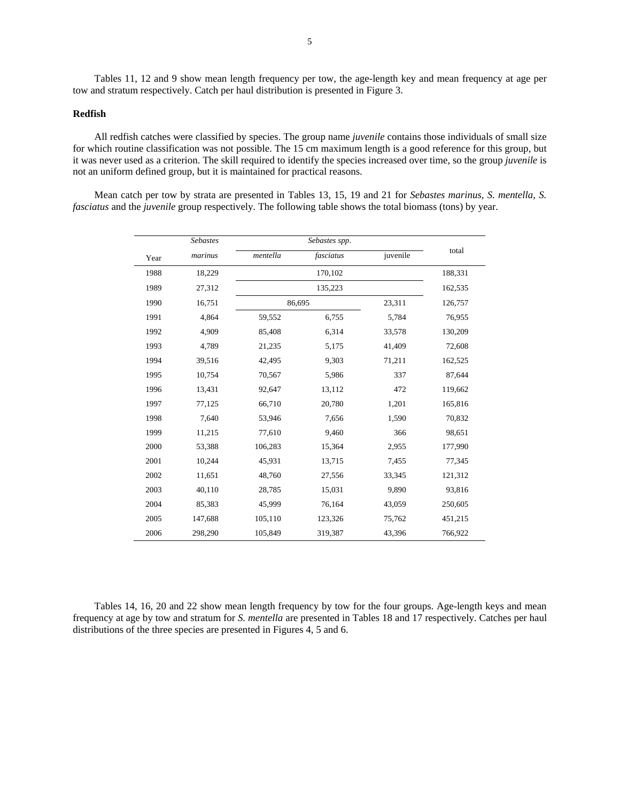Tables 11, 12 and 9 show mean length frequency per tow, the age-length key and mean frequency at age per tow and stratum respectively. Catch per haul distribution is presented in Figure 3.

## **Redfish**

All redfish catches were classified by species. The group name *juvenile* contains those individuals of small size for which routine classification was not possible. The 15 cm maximum length is a good reference for this group, but it was never used as a criterion. The skill required to identify the species increased over time, so the group *juvenile* is not an uniform defined group, but it is maintained for practical reasons.

Mean catch per tow by strata are presented in Tables 13, 15, 19 and 21 for *Sebastes marinus*, *S. mentella*, *S. fasciatus* and the *juvenile* group respectively. The following table shows the total biomass (tons) by year.

|      | <b>Sebastes</b> |          | Sebastes spp. |          |         |
|------|-----------------|----------|---------------|----------|---------|
| Year | marinus         | mentella | fasciatus     | juvenile | total   |
| 1988 | 18,229          |          | 170,102       |          | 188,331 |
| 1989 | 27,312          |          | 135,223       |          | 162,535 |
| 1990 | 16,751          |          | 86,695        | 23,311   | 126,757 |
| 1991 | 4,864           | 59,552   | 6,755         | 5,784    | 76,955  |
| 1992 | 4,909           | 85,408   | 6,314         | 33,578   | 130,209 |
| 1993 | 4,789           | 21,235   | 5,175         | 41,409   | 72,608  |
| 1994 | 39,516          | 42,495   | 9,303         | 71,211   | 162,525 |
| 1995 | 10,754          | 70,567   | 5,986         | 337      | 87,644  |
| 1996 | 13,431          | 92,647   | 13,112        | 472      | 119,662 |
| 1997 | 77,125          | 66,710   | 20,780        | 1,201    | 165,816 |
| 1998 | 7,640           | 53,946   | 7,656         | 1,590    | 70,832  |
| 1999 | 11,215          | 77,610   | 9,460         | 366      | 98,651  |
| 2000 | 53,388          | 106,283  | 15,364        | 2,955    | 177,990 |
| 2001 | 10,244          | 45,931   | 13,715        | 7,455    | 77,345  |
| 2002 | 11,651          | 48,760   | 27,556        | 33,345   | 121,312 |
| 2003 | 40,110          | 28,785   | 15,031        | 9,890    | 93,816  |
| 2004 | 85,383          | 45,999   | 76,164        | 43,059   | 250,605 |
| 2005 | 147,688         | 105,110  | 123,326       | 75,762   | 451,215 |
| 2006 | 298,290         | 105,849  | 319,387       | 43,396   | 766,922 |

Tables 14, 16, 20 and 22 show mean length frequency by tow for the four groups. Age-length keys and mean frequency at age by tow and stratum for *S. mentella* are presented in Tables 18 and 17 respectively. Catches per haul distributions of the three species are presented in Figures 4, 5 and 6.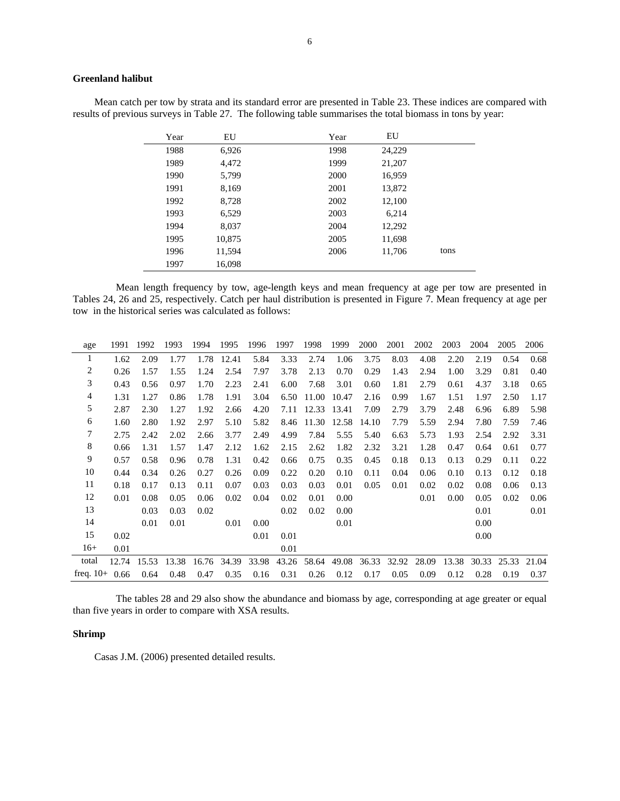# **Greenland halibut**

Mean catch per tow by strata and its standard error are presented in Table 23. These indices are compared with results of previous surveys in Table 27. The following table summarises the total biomass in tons by year:

| Year | EU     | Year | EU     |      |
|------|--------|------|--------|------|
| 1988 | 6,926  | 1998 | 24,229 |      |
| 1989 | 4,472  | 1999 | 21,207 |      |
| 1990 | 5,799  | 2000 | 16,959 |      |
| 1991 | 8,169  | 2001 | 13,872 |      |
| 1992 | 8,728  | 2002 | 12,100 |      |
| 1993 | 6,529  | 2003 | 6,214  |      |
| 1994 | 8,037  | 2004 | 12,292 |      |
| 1995 | 10,875 | 2005 | 11,698 |      |
| 1996 | 11,594 | 2006 | 11,706 | tons |
| 1997 | 16,098 |      |        |      |

Mean length frequency by tow, age-length keys and mean frequency at age per tow are presented in Tables 24, 26 and 25, respectively. Catch per haul distribution is presented in Figure 7. Mean frequency at age per tow in the historical series was calculated as follows:

| age             | 1991  | 1992  | 1993  | 1994  | 1995  | 1996  | 1997  | 1998  | 1999  | 2000  | 2001  | 2002  | 2003  | 2004  | 2005  | 2006  |
|-----------------|-------|-------|-------|-------|-------|-------|-------|-------|-------|-------|-------|-------|-------|-------|-------|-------|
| $\mathbf{I}$    | 1.62  | 2.09  | 1.77  | 1.78  | 12.41 | 5.84  | 3.33  | 2.74  | 1.06  | 3.75  | 8.03  | 4.08  | 2.20  | 2.19  | 0.54  | 0.68  |
| 2               | 0.26  | 1.57  | 1.55  | 1.24  | 2.54  | 7.97  | 3.78  | 2.13  | 0.70  | 0.29  | 1.43  | 2.94  | 1.00  | 3.29  | 0.81  | 0.40  |
| 3               | 0.43  | 0.56  | 0.97  | 1.70  | 2.23  | 2.41  | 6.00  | 7.68  | 3.01  | 0.60  | 1.81  | 2.79  | 0.61  | 4.37  | 3.18  | 0.65  |
| 4               | 1.31  | 1.27  | 0.86  | 1.78  | 1.91  | 3.04  | 6.50  | 11.00 | 10.47 | 2.16  | 0.99  | 1.67  | 1.51  | 1.97  | 2.50  | 1.17  |
| 5               | 2.87  | 2.30  | 1.27  | 1.92  | 2.66  | 4.20  | 7.11  | 12.33 | 13.41 | 7.09  | 2.79  | 3.79  | 2.48  | 6.96  | 6.89  | 5.98  |
| 6               | 1.60  | 2.80  | 1.92  | 2.97  | 5.10  | 5.82  | 8.46  | 11.30 | 12.58 | 14.10 | 7.79  | 5.59  | 2.94  | 7.80  | 7.59  | 7.46  |
| 7               | 2.75  | 2.42  | 2.02  | 2.66  | 3.77  | 2.49  | 4.99  | 7.84  | 5.55  | 5.40  | 6.63  | 5.73  | 1.93  | 2.54  | 2.92  | 3.31  |
| 8               | 0.66  | 1.31  | 1.57  | 1.47  | 2.12  | 1.62  | 2.15  | 2.62  | 1.82  | 2.32  | 3.21  | 1.28  | 0.47  | 0.64  | 0.61  | 0.77  |
| 9               | 0.57  | 0.58  | 0.96  | 0.78  | 1.31  | 0.42  | 0.66  | 0.75  | 0.35  | 0.45  | 0.18  | 0.13  | 0.13  | 0.29  | 0.11  | 0.22  |
| 10              | 0.44  | 0.34  | 0.26  | 0.27  | 0.26  | 0.09  | 0.22  | 0.20  | 0.10  | 0.11  | 0.04  | 0.06  | 0.10  | 0.13  | 0.12  | 0.18  |
| 11              | 0.18  | 0.17  | 0.13  | 0.11  | 0.07  | 0.03  | 0.03  | 0.03  | 0.01  | 0.05  | 0.01  | 0.02  | 0.02  | 0.08  | 0.06  | 0.13  |
| 12              | 0.01  | 0.08  | 0.05  | 0.06  | 0.02  | 0.04  | 0.02  | 0.01  | 0.00  |       |       | 0.01  | 0.00  | 0.05  | 0.02  | 0.06  |
| 13              |       | 0.03  | 0.03  | 0.02  |       |       | 0.02  | 0.02  | 0.00  |       |       |       |       | 0.01  |       | 0.01  |
| 14              |       | 0.01  | 0.01  |       | 0.01  | 0.00  |       |       | 0.01  |       |       |       |       | 0.00  |       |       |
| 15              | 0.02  |       |       |       |       | 0.01  | 0.01  |       |       |       |       |       |       | 0.00  |       |       |
| $16+$           | 0.01  |       |       |       |       |       | 0.01  |       |       |       |       |       |       |       |       |       |
| total           | 12.74 | 15.53 | 13.38 | 16.76 | 34.39 | 33.98 | 43.26 | 58.64 | 49.08 | 36.33 | 32.92 | 28.09 | 13.38 | 30.33 | 25.33 | 21.04 |
| freq. $10+0.66$ |       | 0.64  | 0.48  | 0.47  | 0.35  | 0.16  | 0.31  | 0.26  | 0.12  | 0.17  | 0.05  | 0.09  | 0.12  | 0.28  | 0.19  | 0.37  |

The tables 28 and 29 also show the abundance and biomass by age, corresponding at age greater or equal than five years in order to compare with XSA results.

# **Shrimp**

Casas J.M. (2006) presented detailed results.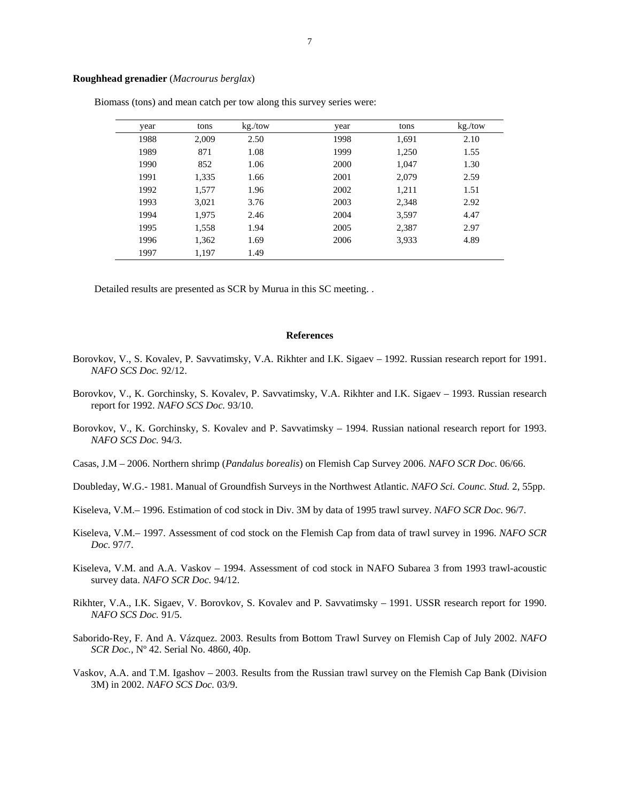## **Roughhead grenadier** (*Macrourus berglax*)

| year | tons  | kg./tow | year | tons  | kg./tow |
|------|-------|---------|------|-------|---------|
| 1988 | 2,009 | 2.50    | 1998 | 1,691 | 2.10    |
| 1989 | 871   | 1.08    | 1999 | 1,250 | 1.55    |
| 1990 | 852   | 1.06    | 2000 | 1,047 | 1.30    |
| 1991 | 1,335 | 1.66    | 2001 | 2,079 | 2.59    |
| 1992 | 1,577 | 1.96    | 2002 | 1,211 | 1.51    |
| 1993 | 3,021 | 3.76    | 2003 | 2,348 | 2.92    |
| 1994 | 1,975 | 2.46    | 2004 | 3,597 | 4.47    |
| 1995 | 1,558 | 1.94    | 2005 | 2,387 | 2.97    |
| 1996 | 1,362 | 1.69    | 2006 | 3,933 | 4.89    |
| 1997 | 1,197 | 1.49    |      |       |         |

Biomass (tons) and mean catch per tow along this survey series were:

Detailed results are presented as SCR by Murua in this SC meeting. .

#### **References**

- Borovkov, V., S. Kovalev, P. Savvatimsky, V.A. Rikhter and I.K. Sigaev 1992. Russian research report for 1991. *NAFO SCS Doc.* 92/12.
- Borovkov, V., K. Gorchinsky, S. Kovalev, P. Savvatimsky, V.A. Rikhter and I.K. Sigaev 1993. Russian research report for 1992. *NAFO SCS Doc.* 93/10.
- Borovkov, V., K. Gorchinsky, S. Kovalev and P. Savvatimsky 1994. Russian national research report for 1993. *NAFO SCS Doc.* 94/3.
- Casas, J.M 2006. Northern shrimp (*Pandalus borealis*) on Flemish Cap Survey 2006. *NAFO SCR Doc.* 06/66.
- Doubleday, W.G.- 1981. Manual of Groundfish Surveys in the Northwest Atlantic. *NAFO Sci. Counc. Stud.* 2, 55pp.
- Kiseleva, V.M.– 1996. Estimation of cod stock in Div. 3M by data of 1995 trawl survey. *NAFO SCR Doc.* 96/7.
- Kiseleva, V.M.– 1997. Assessment of cod stock on the Flemish Cap from data of trawl survey in 1996. *NAFO SCR Doc.* 97/7.
- Kiseleva, V.M. and A.A. Vaskov 1994. Assessment of cod stock in NAFO Subarea 3 from 1993 trawl-acoustic survey data. *NAFO SCR Doc.* 94/12.
- Rikhter, V.A., I.K. Sigaev, V. Borovkov, S. Kovalev and P. Savvatimsky 1991. USSR research report for 1990. *NAFO SCS Doc.* 91/5.
- Saborido-Rey, F. And A. Vázquez. 2003. Results from Bottom Trawl Survey on Flemish Cap of July 2002. *NAFO SCR Doc.,* Nº 42. Serial No. 4860, 40p.
- Vaskov, A.A. and T.M. Igashov 2003. Results from the Russian trawl survey on the Flemish Cap Bank (Division 3M) in 2002. *NAFO SCS Doc.* 03/9.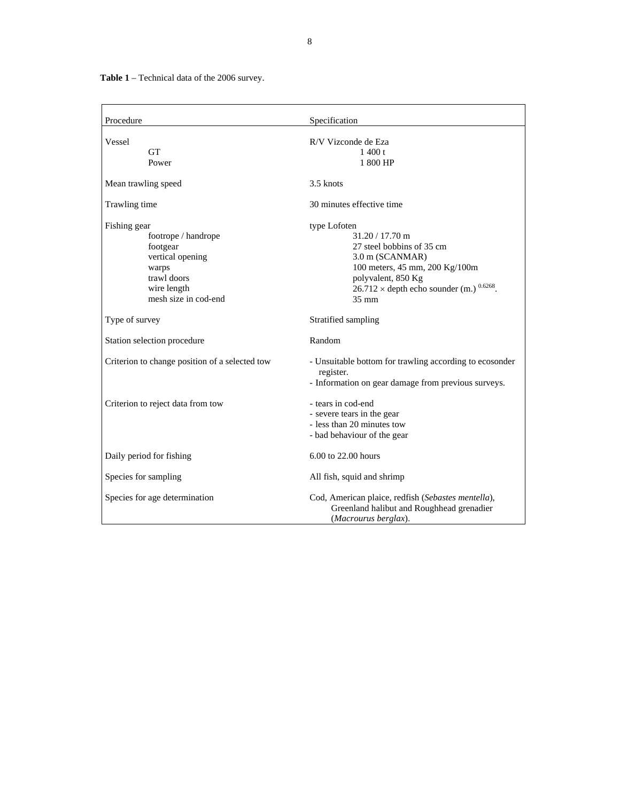**Table 1** – Technical data of the 2006 survey.

| Procedure                                                                                                                          | Specification                                                                                                                                                                                                      |
|------------------------------------------------------------------------------------------------------------------------------------|--------------------------------------------------------------------------------------------------------------------------------------------------------------------------------------------------------------------|
| Vessel<br><b>GT</b><br>Power                                                                                                       | R/V Vizconde de Eza<br>1400 t<br>1 800 HP                                                                                                                                                                          |
| Mean trawling speed                                                                                                                | 3.5 knots                                                                                                                                                                                                          |
| Trawling time                                                                                                                      | 30 minutes effective time                                                                                                                                                                                          |
| Fishing gear<br>footrope / handrope<br>footgear<br>vertical opening<br>warps<br>trawl doors<br>wire length<br>mesh size in cod-end | type Lofoten<br>$31.20 / 17.70$ m<br>27 steel bobbins of 35 cm<br>3.0 m (SCANMAR)<br>100 meters, 45 mm, 200 Kg/100m<br>polyvalent, 850 Kg<br>$26.712 \times$ depth echo sounder (m.) $0.6268$ .<br>$35 \text{ mm}$ |
| Type of survey                                                                                                                     | Stratified sampling                                                                                                                                                                                                |
| Station selection procedure                                                                                                        | Random                                                                                                                                                                                                             |
| Criterion to change position of a selected tow                                                                                     | - Unsuitable bottom for trawling according to ecosonder<br>register.<br>- Information on gear damage from previous surveys.                                                                                        |
| Criterion to reject data from tow                                                                                                  | - tears in cod-end<br>- severe tears in the gear<br>- less than 20 minutes tow<br>- bad behaviour of the gear                                                                                                      |
| Daily period for fishing                                                                                                           | 6.00 to 22.00 hours                                                                                                                                                                                                |
| Species for sampling                                                                                                               | All fish, squid and shrimp                                                                                                                                                                                         |
| Species for age determination                                                                                                      | Cod, American plaice, redfish (Sebastes mentella),<br>Greenland halibut and Roughhead grenadier<br>(Macrourus berglax).                                                                                            |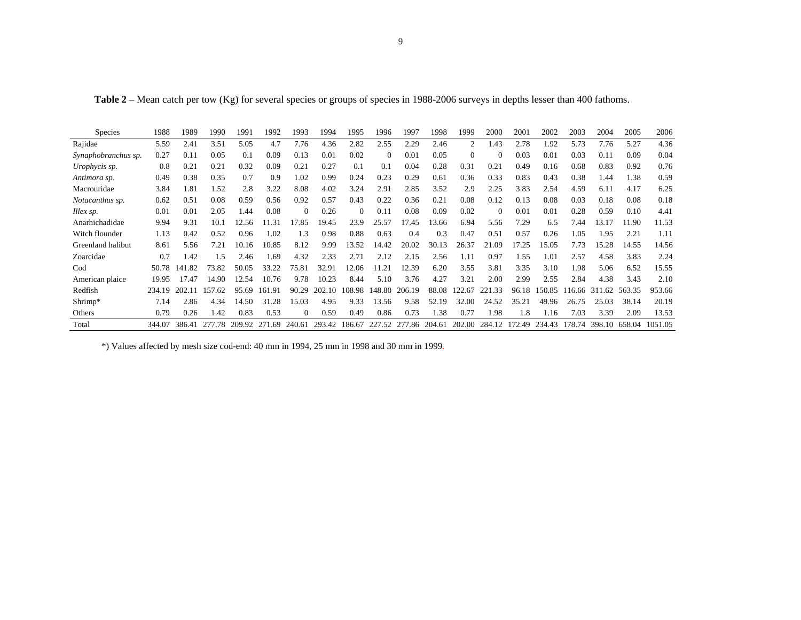| <b>Species</b>      | 1988   | 1989   | 1990       | 1991   | 1992   | 1993     | 1994   | 1995   | 1996     | 1997   | 1998   | 1999     | 2000     | 2001   | 2002   | 2003   | 2004       | 2005   | 2006    |
|---------------------|--------|--------|------------|--------|--------|----------|--------|--------|----------|--------|--------|----------|----------|--------|--------|--------|------------|--------|---------|
| Rajidae             | 5.59   | 2.41   | 3.51       | 5.05   | 4.7    | 7.76     | 4.36   | 2.82   | 2.55     | 2.29   | 2.46   | 2        | 1.43     | 2.78   | 1.92   | 5.73   | 7.76       | 5.27   | 4.36    |
| Synaphobranchus sp. | 0.27   | 0.11   | 0.05       | 0.1    | 0.09   | 0.13     | 0.01   | 0.02   | $\Omega$ | 0.01   | 0.05   | $\Omega$ | $\Omega$ | 0.03   | 0.01   | 0.03   | 0.11       | 0.09   | 0.04    |
| Urophycis sp.       | 0.8    | 0.21   | 0.21       | 0.32   | 0.09   | 0.21     | 0.27   | 0.1    | 0.1      | 0.04   | 0.28   | 0.31     | 0.21     | 0.49   | 0.16   | 0.68   | 0.83       | 0.92   | 0.76    |
| Antimora sp.        | 0.49   | 0.38   | 0.35       | 0.7    | 0.9    | 1.02     | 0.99   | 0.24   | 0.23     | 0.29   | 0.61   | 0.36     | 0.33     | 0.83   | 0.43   | 0.38   | 1.44       | 1.38   | 0.59    |
| Macrouridae         | 3.84   | 1.81   | 1.52       | 2.8    | 3.22   | 8.08     | 4.02   | 3.24   | 2.91     | 2.85   | 3.52   | 2.9      | 2.25     | 3.83   | 2.54   | 4.59   | 6.11       | 4.17   | 6.25    |
| Notacanthus sp.     | 0.62   | 0.51   | 0.08       | 0.59   | 0.56   | 0.92     | 0.57   | 0.43   | 0.22     | 0.36   | 0.21   | 0.08     | 0.12     | 0.13   | 0.08   | 0.03   | 0.18       | 0.08   | 0.18    |
| Illex sp.           | 0.01   | 0.01   | 2.05       | 1.44   | 0.08   | $\Omega$ | 0.26   | 0      | 0.11     | 0.08   | 0.09   | 0.02     | $\Omega$ | 0.01   | 0.01   | 0.28   | 0.59       | 0.10   | 4.41    |
| Anarhichadidae      | 9.94   | 9.31   | 10.1       | 2.56   | .31    | 17.85    | 19.45  | 23.9   | 25.57    | 17.45  | 3.66   | 6.94     | 5.56     | 7.29   | 6.5    | 7.44   | 13.17      | 1.90   | 11.53   |
| Witch flounder      | 1.13   | 0.42   | 0.52       | 0.96   | 1.02   | 1.3      | 0.98   | 0.88   | 0.63     | 0.4    | 0.3    | 0.47     | 0.51     | 0.57   | 0.26   | 1.05   | 1.95       | 2.21   | 1.11    |
| Greenland halibut   | 8.61   | 5.56   | 7.21       | 10.16  | 10.85  | 8.12     | 9.99   | 13.52  | 14.42    | 20.02  | 30.13  | 26.37    | 21.09    | 17.25  | 15.05  | 7.73   | 15.28      | 14.55  | 14.56   |
| Zoarcidae           | 0.7    | 1.42   | 1.5        | 2.46   | 1.69   | 4.32     | 2.33   | 2.71   | 2.12     | 2.15   | 2.56   | 1.11     | 0.97     | 1.55   | 1.01   | 2.57   | 4.58       | 3.83   | 2.24    |
| Cod                 | 50.78  | 141.82 | 73.82      | 50.05  | 33.22  | 75.81    | 32.91  | 12.06  | 11.21    | 12.39  | 6.20   | 3.55     | 3.81     | 3.35   | 3.10   | 1.98   | 5.06       | 6.52   | 15.55   |
| American plaice     | 19.95  | 17.47  | 14.90      | 12.54  | 10.76  | 9.78     | 10.23  | 8.44   | 5.10     | 3.76   | 4.27   | 3.21     | 2.00     | 2.99   | 2.55   | 2.84   | 4.38       | 3.43   | 2.10    |
| Redfish             | 234.19 | 202.11 | 157<br>-62 | 95.69  | 161.91 | 90.29    | 202.10 | 108.98 | 148.80   | 206.19 | 88.08  | 122.67   | 221.33   | 96.18  | 150.85 | 116.66 | 311<br>.62 | 563.35 | 953.66  |
| Shrimp*             | 7.14   | 2.86   | 4.34       | 14.50  | 31.28  | 15.03    | 4.95   | 9.33   | 13.56    | 9.58   | 52.19  | 32.00    | 24.52    | 35.21  | 49.96  | 26.75  | 25.03      | 38.14  | 20.19   |
| Others              | 0.79   | 0.26   | l.42       | 0.83   | 0.53   | $\Omega$ | 0.59   | 0.49   | 0.86     | 0.73   | 1.38   | 0.77     | 1.98     | 1.8    | 1.16   | 7.03   | 3.39       | 2.09   | 13.53   |
| Total               | 344.07 | 386.41 | 277.78     | 209.92 | 271.69 | 240.61   | 293.42 | 186.67 | 227.52   | 277.86 | 204.61 | 202.00   | 284.12   | 172.49 | 234.43 | 178.74 | 398.10     | 658.04 | 1051.05 |

**Table 2** – Mean catch per tow (Kg) for several species or groups of species in 1988-2006 surveys in depths lesser than 400 fathoms.

\*) Values affected by mesh size cod-end: 40 mm in 1994, 25 mm in 1998 and 30 mm in 1999.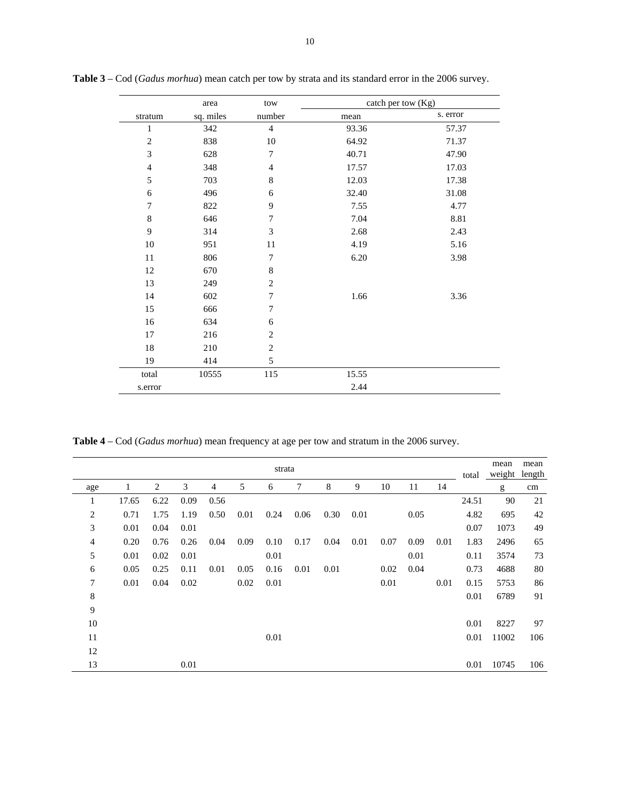|                | area      | tow                         | catch per tow (Kg) |          |
|----------------|-----------|-----------------------------|--------------------|----------|
| stratum        | sq. miles | number                      | mean               | s. error |
| $\mathbf{1}$   | 342       | $\overline{4}$              | 93.36              | 57.37    |
| $\mathbf{2}$   | 838       | 10                          | 64.92              | 71.37    |
| 3              | 628       | 7                           | 40.71              | 47.90    |
| $\overline{4}$ | 348       | $\overline{4}$              | 17.57              | 17.03    |
| 5              | 703       | $\,$ 8 $\,$                 | 12.03              | 17.38    |
| 6              | 496       | 6                           | 32.40              | 31.08    |
| $\tau$         | 822       | 9                           | 7.55               | 4.77     |
| $\,$ 8 $\,$    | 646       | 7                           | 7.04               | 8.81     |
| $\overline{9}$ | 314       | $\ensuremath{\mathfrak{Z}}$ | 2.68               | 2.43     |
| $10\,$         | 951       | 11                          | 4.19               | 5.16     |
| 11             | 806       | 7                           | 6.20               | 3.98     |
| 12             | 670       | $\,8\,$                     |                    |          |
| 13             | 249       | $\mathbf{2}$                |                    |          |
| 14             | 602       | 7                           | 1.66               | 3.36     |
| 15             | 666       | 7                           |                    |          |
| 16             | 634       | 6                           |                    |          |
| $17\,$         | 216       | $\mathbf{2}$                |                    |          |
| $18\,$         | 210       | $\sqrt{2}$                  |                    |          |
| 19             | 414       | 5                           |                    |          |
| total          | 10555     | 115                         | 15.55              |          |
| s.error        |           |                             | 2.44               |          |

**Table 3** – Cod (*Gadus morhua*) mean catch per tow by strata and its standard error in the 2006 survey.

**Table 4** – Cod (*Gadus morhua*) mean frequency at age per tow and stratum in the 2006 survey.

|                |       |                |      |      |      | strata |      |      |      |      |      |      | total | mean<br>weight | mean<br>length |
|----------------|-------|----------------|------|------|------|--------|------|------|------|------|------|------|-------|----------------|----------------|
| age            | 1     | $\overline{2}$ | 3    | 4    | 5    | 6      | 7    | 8    | 9    | 10   | 11   | 14   |       | g              | cm             |
| 1              | 17.65 | 6.22           | 0.09 | 0.56 |      |        |      |      |      |      |      |      | 24.51 | 90             | 21             |
| $\overline{c}$ | 0.71  | 1.75           | 1.19 | 0.50 | 0.01 | 0.24   | 0.06 | 0.30 | 0.01 |      | 0.05 |      | 4.82  | 695            | 42             |
| 3              | 0.01  | 0.04           | 0.01 |      |      |        |      |      |      |      |      |      | 0.07  | 1073           | 49             |
| 4              | 0.20  | 0.76           | 0.26 | 0.04 | 0.09 | 0.10   | 0.17 | 0.04 | 0.01 | 0.07 | 0.09 | 0.01 | 1.83  | 2496           | 65             |
| 5              | 0.01  | 0.02           | 0.01 |      |      | 0.01   |      |      |      |      | 0.01 |      | 0.11  | 3574           | 73             |
| 6              | 0.05  | 0.25           | 0.11 | 0.01 | 0.05 | 0.16   | 0.01 | 0.01 |      | 0.02 | 0.04 |      | 0.73  | 4688           | 80             |
| 7              | 0.01  | 0.04           | 0.02 |      | 0.02 | 0.01   |      |      |      | 0.01 |      | 0.01 | 0.15  | 5753           | 86             |
| 8              |       |                |      |      |      |        |      |      |      |      |      |      | 0.01  | 6789           | 91             |
| $\overline{9}$ |       |                |      |      |      |        |      |      |      |      |      |      |       |                |                |
| 10             |       |                |      |      |      |        |      |      |      |      |      |      | 0.01  | 8227           | 97             |
| 11             |       |                |      |      |      | 0.01   |      |      |      |      |      |      | 0.01  | 11002          | 106            |
| 12             |       |                |      |      |      |        |      |      |      |      |      |      |       |                |                |
| 13             |       |                | 0.01 |      |      |        |      |      |      |      |      |      | 0.01  | 10745          | 106            |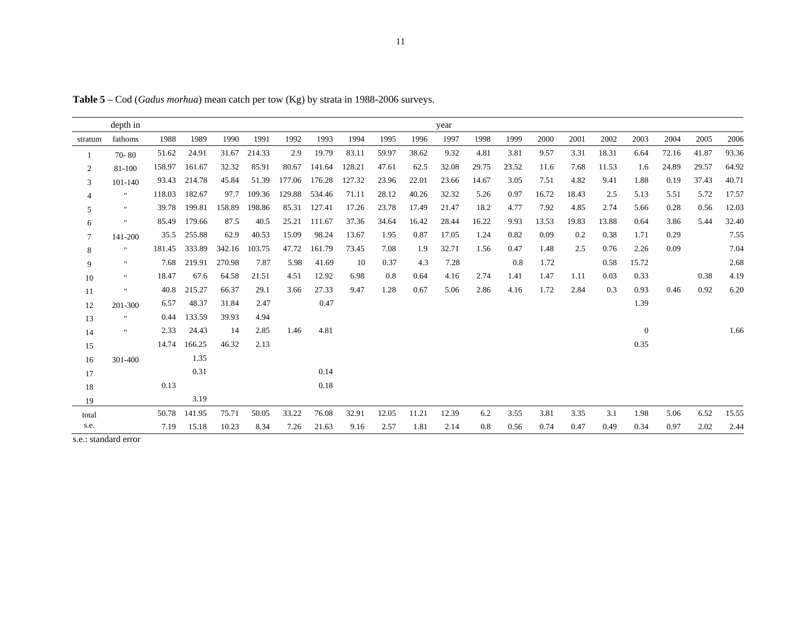**Table 5** – Cod (*Gadus morhua*) mean catch per tow (Kg) by strata in 1988-2006 surveys.

|                | depth in       |        |        |        |        |        |        |        |       |       | year  |       |       |       |       |       |          |       |       |       |
|----------------|----------------|--------|--------|--------|--------|--------|--------|--------|-------|-------|-------|-------|-------|-------|-------|-------|----------|-------|-------|-------|
| stratum        | fathoms        | 1988   | 1989   | 1990   | 1991   | 1992   | 1993   | 1994   | 1995  | 1996  | 1997  | 1998  | 1999  | 2000  | 2001  | 2002  | 2003     | 2004  | 2005  | 2006  |
|                | $70 - 80$      | 51.62  | 24.91  | 31.67  | 214.33 | 2.9    | 19.79  | 83.11  | 59.97 | 38.62 | 9.32  | 4.81  | 3.81  | 9.57  | 3.31  | 18.31 | 6.64     | 72.16 | 41.87 | 93.36 |
| $\overline{c}$ | 81-100         | 158.97 | 161.67 | 32.32  | 85.91  | 80.67  | 141.64 | 128.21 | 47.61 | 62.5  | 32.08 | 29.75 | 23.52 | 11.6  | 7.68  | 11.53 | 1.6      | 24.89 | 29.57 | 64.92 |
| 3              | 101-140        | 93.43  | 214.78 | 45.84  | 51.39  | 177.06 | 176.28 | 127.32 | 23.96 | 22.01 | 23.66 | 14.67 | 3.05  | 7.51  | 4.82  | 9.41  | 1.88     | 0.19  | 37.43 | 40.71 |
| 4              | $\mathbf{H}$   | 118.03 | 182.67 | 97.7   | 109.36 | 129.88 | 534.46 | 71.11  | 28.12 | 40.26 | 32.32 | 5.26  | 0.97  | 16.72 | 18.43 | 2.5   | 5.13     | 5.51  | 5.72  | 17.57 |
| 5              | $\mathbf{H}$   | 39.78  | 199.81 | 158.89 | 198.86 | 85.31  | 127.41 | 17.26  | 23.78 | 17.49 | 21.47 | 18.2  | 4.77  | 7.92  | 4.85  | 2.74  | 5.66     | 0.28  | 0.56  | 12.03 |
| 6              | $\mathbf{H}$   | 85.49  | 179.66 | 87.5   | 40.5   | 25.21  | 111.67 | 37.36  | 34.64 | 16.42 | 28.44 | 16.22 | 9.93  | 13.53 | 19.83 | 13.88 | 0.64     | 3.86  | 5.44  | 32.40 |
| 7              | 141-200        | 35.5   | 255.88 | 62.9   | 40.53  | 15.09  | 98.24  | 13.67  | 1.95  | 0.87  | 17.05 | 1.24  | 0.82  | 0.09  | 0.2   | 0.38  | 1.71     | 0.29  |       | 7.55  |
| 8              |                | 181.45 | 333.89 | 342.16 | 103.75 | 47.72  | 161.79 | 73.45  | 7.08  | 1.9   | 32.71 | 1.56  | 0.47  | 1.48  | 2.5   | 0.76  | 2.26     | 0.09  |       | 7.04  |
| 9              | $\mathbf{H}$   | 7.68   | 219.91 | 270.98 | 7.87   | 5.98   | 41.69  | 10     | 0.37  | 4.3   | 7.28  |       | 0.8   | 1.72  |       | 0.58  | 15.72    |       |       | 2.68  |
| 10             | $\mathbf{H}$   | 18.47  | 67.6   | 64.58  | 21.51  | 4.51   | 12.92  | 6.98   | 0.8   | 0.64  | 4.16  | 2.74  | 1.41  | 1.47  | 1.11  | 0.03  | 0.33     |       | 0.38  | 4.19  |
| 11             | $\mathbf{H}$   | 40.8   | 215.27 | 66.37  | 29.1   | 3.66   | 27.33  | 9.47   | 1.28  | 0.67  | 5.06  | 2.86  | 4.16  | 1.72  | 2.84  | 0.3   | 0.93     | 0.46  | 0.92  | 6.20  |
| 12             | 201-300        | 6.57   | 48.37  | 31.84  | 2.47   |        | 0.47   |        |       |       |       |       |       |       |       |       | 1.39     |       |       |       |
| 13             | $\blacksquare$ | 0.44   | 133.59 | 39.93  | 4.94   |        |        |        |       |       |       |       |       |       |       |       |          |       |       |       |
| 14             | $\mathbf{H}$   | 2.33   | 24.43  | 14     | 2.85   | 1.46   | 4.81   |        |       |       |       |       |       |       |       |       | $\theta$ |       |       | 1.66  |
| 15             |                | 14.74  | 166.25 | 46.32  | 2.13   |        |        |        |       |       |       |       |       |       |       |       | 0.35     |       |       |       |
| 16             | 301-400        |        | 1.35   |        |        |        |        |        |       |       |       |       |       |       |       |       |          |       |       |       |
| 17             |                |        | 0.31   |        |        |        | 0.14   |        |       |       |       |       |       |       |       |       |          |       |       |       |
| 18             |                | 0.13   |        |        |        |        | 0.18   |        |       |       |       |       |       |       |       |       |          |       |       |       |
| 19             |                |        | 3.19   |        |        |        |        |        |       |       |       |       |       |       |       |       |          |       |       |       |
| total          |                | 50.78  | 141.95 | 75.71  | 50.05  | 33.22  | 76.08  | 32.91  | 12.05 | 11.21 | 12.39 | 6.2   | 3.55  | 3.81  | 3.35  | 3.1   | 1.98     | 5.06  | 6.52  | 15.55 |
| s.e.           |                | 7.19   | 15.18  | 10.23  | 8.34   | 7.26   | 21.63  | 9.16   | 2.57  | 1.81  | 2.14  | 0.8   | 0.56  | 0.74  | 0.47  | 0.49  | 0.34     | 0.97  | 2.02  | 2.44  |

s.e.: standard error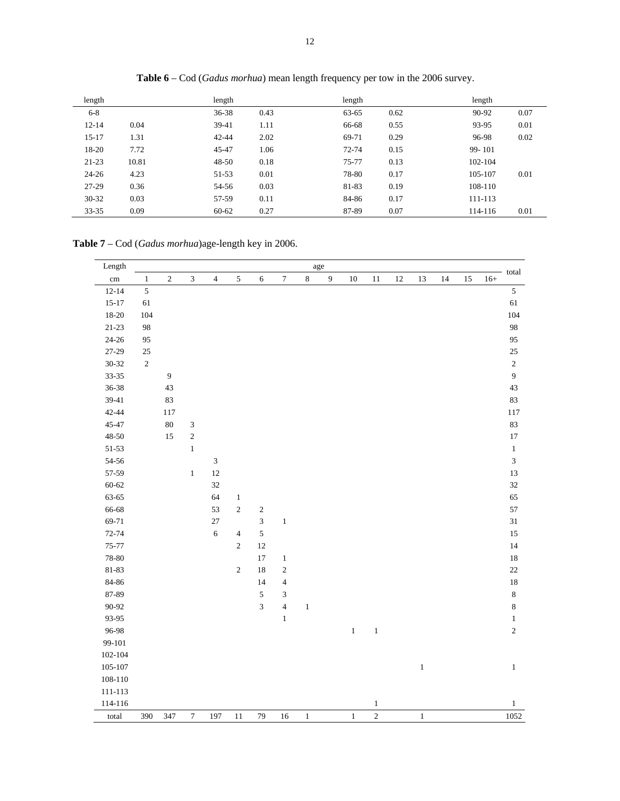| length    |       | length            | length    |      | length  |      |
|-----------|-------|-------------------|-----------|------|---------|------|
| $6 - 8$   |       | 36-38<br>0.43     | 63-65     | 0.62 | 90-92   | 0.07 |
| $12 - 14$ | 0.04  | $39-41$<br>1.11   | 66-68     | 0.55 | 93-95   | 0.01 |
| $15-17$   | 1.31  | $42 - 44$<br>2.02 | 69-71     | 0.29 | 96-98   | 0.02 |
| 18-20     | 7.72  | 45-47<br>1.06     | $72 - 74$ | 0.15 | 99-101  |      |
| $21 - 23$ | 10.81 | 0.18<br>$48 - 50$ | 75-77     | 0.13 | 102-104 |      |
| $24 - 26$ | 4.23  | 51-53<br>0.01     | 78-80     | 0.17 | 105-107 | 0.01 |
| $27-29$   | 0.36  | 0.03<br>54-56     | 81-83     | 0.19 | 108-110 |      |
| $30 - 32$ | 0.03  | 0.11<br>57-59     | 84-86     | 0.17 | 111-113 |      |
| $33 - 35$ | 0.09  | 0.27<br>$60 - 62$ | 87-89     | 0.07 | 114-116 | 0.01 |

**Table 6** – Cod (*Gadus morhua*) mean length frequency per tow in the 2006 survey.

**Table 7** – Cod (*Gadus morhua*)age-length key in 2006.

| Length          |                |                  |                |                             |                |                |                          |              | $_{\rm age}$     |              |                |    |              |    |    |       | total                       |
|-----------------|----------------|------------------|----------------|-----------------------------|----------------|----------------|--------------------------|--------------|------------------|--------------|----------------|----|--------------|----|----|-------|-----------------------------|
| $\,\mathrm{cm}$ | $\,1\,$        | $\sqrt{2}$       | $\mathfrak{Z}$ | $\sqrt{4}$                  | $\sqrt{5}$     | $\epsilon$     | $\boldsymbol{7}$         | $\,8\,$      | $\boldsymbol{9}$ | $10\,$       | $11\,$         | 12 | 13           | 14 | 15 | $16+$ |                             |
| $12 - 14$       | $\overline{5}$ |                  |                |                             |                |                |                          |              |                  |              |                |    |              |    |    |       | $\mathfrak{S}$              |
| $15 - 17$       | 61             |                  |                |                             |                |                |                          |              |                  |              |                |    |              |    |    |       | 61                          |
| 18-20           | 104            |                  |                |                             |                |                |                          |              |                  |              |                |    |              |    |    |       | 104                         |
| $21 - 23$       | 98             |                  |                |                             |                |                |                          |              |                  |              |                |    |              |    |    |       | 98                          |
| $24 - 26$       | 95             |                  |                |                             |                |                |                          |              |                  |              |                |    |              |    |    |       | 95                          |
| 27-29           | $25\,$         |                  |                |                             |                |                |                          |              |                  |              |                |    |              |    |    |       | $25\,$                      |
| 30-32           | $\sqrt{2}$     |                  |                |                             |                |                |                          |              |                  |              |                |    |              |    |    |       | $\sqrt{2}$                  |
| $33 - 35$       |                | $\boldsymbol{9}$ |                |                             |                |                |                          |              |                  |              |                |    |              |    |    |       | $\overline{9}$              |
| 36-38           |                | 43               |                |                             |                |                |                          |              |                  |              |                |    |              |    |    |       | 43                          |
| 39-41           |                | 83               |                |                             |                |                |                          |              |                  |              |                |    |              |    |    |       | 83                          |
| 42-44           |                | 117              |                |                             |                |                |                          |              |                  |              |                |    |              |    |    |       | 117                         |
| 45-47           |                | $80\,$           | $\mathfrak{Z}$ |                             |                |                |                          |              |                  |              |                |    |              |    |    |       | 83                          |
| $48 - 50$       |                | 15               | $\sqrt{2}$     |                             |                |                |                          |              |                  |              |                |    |              |    |    |       | $17\,$                      |
| 51-53           |                |                  | $\,1$          |                             |                |                |                          |              |                  |              |                |    |              |    |    |       | $\,1\,$                     |
| 54-56           |                |                  |                | $\ensuremath{\mathfrak{Z}}$ |                |                |                          |              |                  |              |                |    |              |    |    |       | $\ensuremath{\mathfrak{Z}}$ |
| 57-59           |                |                  | $\,1\,$        | 12                          |                |                |                          |              |                  |              |                |    |              |    |    |       | 13                          |
| $60 - 62$       |                |                  |                | 32                          |                |                |                          |              |                  |              |                |    |              |    |    |       | 32                          |
| 63-65           |                |                  |                | 64                          | $\mathbf{1}$   |                |                          |              |                  |              |                |    |              |    |    |       | 65                          |
| 66-68           |                |                  |                | 53                          | $\sqrt{2}$     | $\sqrt{2}$     |                          |              |                  |              |                |    |              |    |    |       | 57                          |
| 69-71           |                |                  |                | 27                          |                | $\mathfrak{Z}$ | $\,1$                    |              |                  |              |                |    |              |    |    |       | $31\,$                      |
| $72 - 74$       |                |                  |                | $\sqrt{6}$                  | $\overline{4}$ | $\mathfrak s$  |                          |              |                  |              |                |    |              |    |    |       | 15                          |
| 75-77           |                |                  |                |                             | $\sqrt{2}$     | 12             |                          |              |                  |              |                |    |              |    |    |       | 14                          |
| 78-80           |                |                  |                |                             |                | 17             | $\mathbf{1}$             |              |                  |              |                |    |              |    |    |       | $18\,$                      |
| 81-83           |                |                  |                |                             | $\sqrt{2}$     | 18             | $\sqrt{2}$               |              |                  |              |                |    |              |    |    |       | 22                          |
| 84-86           |                |                  |                |                             |                | 14             | $\overline{\mathbf{4}}$  |              |                  |              |                |    |              |    |    |       | 18                          |
| 87-89           |                |                  |                |                             |                | $\sqrt{5}$     | 3                        |              |                  |              |                |    |              |    |    |       | $\,$ 8 $\,$                 |
| 90-92           |                |                  |                |                             |                | $\overline{3}$ | $\overline{\mathcal{L}}$ | $\,1\,$      |                  |              |                |    |              |    |    |       | $\,8\,$                     |
| 93-95           |                |                  |                |                             |                |                | $\mathbf{1}$             |              |                  |              |                |    |              |    |    |       | $\mathbf{1}$                |
| 96-98           |                |                  |                |                             |                |                |                          |              |                  | $\,1$        | $\,1$          |    |              |    |    |       | $\sqrt{2}$                  |
| 99-101          |                |                  |                |                             |                |                |                          |              |                  |              |                |    |              |    |    |       |                             |
| 102-104         |                |                  |                |                             |                |                |                          |              |                  |              |                |    |              |    |    |       |                             |
| 105-107         |                |                  |                |                             |                |                |                          |              |                  |              |                |    | $\,1\,$      |    |    |       | $\,1$                       |
| 108-110         |                |                  |                |                             |                |                |                          |              |                  |              |                |    |              |    |    |       |                             |
| 111-113         |                |                  |                |                             |                |                |                          |              |                  |              |                |    |              |    |    |       |                             |
| 114-116         |                |                  |                |                             |                |                |                          |              |                  |              | $\mathbf{1}$   |    |              |    |    |       | $\mathbf{1}$                |
| total           | 390            | 347              | $\tau$         | 197                         | 11             | 79             | 16                       | $\mathbf{1}$ |                  | $\mathbf{1}$ | $\overline{c}$ |    | $\mathbf{1}$ |    |    |       | 1052                        |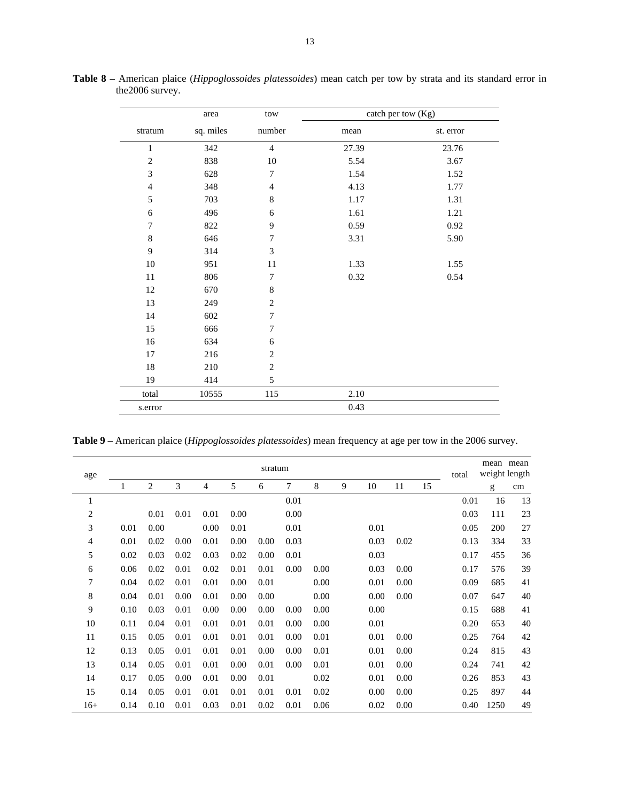|                             | area      | $\mathop{\text{\rm tow}}$ |       | catch per tow (Kg) |
|-----------------------------|-----------|---------------------------|-------|--------------------|
| stratum                     | sq. miles | number                    | mean  | st. error          |
| $\,1$                       | 342       | $\overline{4}$            | 27.39 | 23.76              |
| $\sqrt{2}$                  | 838       | $10\,$                    | 5.54  | 3.67               |
| $\ensuremath{\mathfrak{Z}}$ | 628       | $\tau$                    | 1.54  | 1.52               |
| $\overline{4}$              | 348       | $\overline{4}$            | 4.13  | 1.77               |
| 5                           | 703       | $\,8\,$                   | 1.17  | 1.31               |
| 6                           | 496       | 6                         | 1.61  | 1.21               |
| $\tau$                      | 822       | 9                         | 0.59  | 0.92               |
| $\,$ 8 $\,$                 | 646       | $\boldsymbol{7}$          | 3.31  | 5.90               |
| $\overline{9}$              | 314       | $\mathfrak{Z}$            |       |                    |
| $10\,$                      | 951       | $11\,$                    | 1.33  | 1.55               |
| 11                          | 806       | $\boldsymbol{7}$          | 0.32  | 0.54               |
| 12                          | 670       | $\,8\,$                   |       |                    |
| 13                          | 249       | $\sqrt{2}$                |       |                    |
| 14                          | 602       | $\boldsymbol{7}$          |       |                    |
| 15                          | 666       | 7                         |       |                    |
| 16                          | 634       | 6                         |       |                    |
| 17                          | 216       | $\overline{c}$            |       |                    |
| $18\,$                      | 210       | $\overline{c}$            |       |                    |
| 19                          | 414       | 5                         |       |                    |
| total                       | 10555     | 115                       | 2.10  |                    |
| s.error                     |           |                           | 0.43  |                    |

**Table 8 –** American plaice (*Hippoglossoides platessoides*) mean catch per tow by strata and its standard error in the2006 survey.

**Table 9** – American plaice (*Hippoglossoides platessoides*) mean frequency at age per tow in the 2006 survey.

| age            |      |      |      |      |      | stratum |      |      |   |      |      |    | total | mean<br>weight length | mean |
|----------------|------|------|------|------|------|---------|------|------|---|------|------|----|-------|-----------------------|------|
|                | 1    | 2    | 3    | 4    | 5    | 6       | 7    | 8    | 9 | 10   | 11   | 15 |       | g                     | cm   |
| 1              |      |      |      |      |      |         | 0.01 |      |   |      |      |    | 0.01  | 16                    | 13   |
| $\overline{c}$ |      | 0.01 | 0.01 | 0.01 | 0.00 |         | 0.00 |      |   |      |      |    | 0.03  | 111                   | 23   |
| 3              | 0.01 | 0.00 |      | 0.00 | 0.01 |         | 0.01 |      |   | 0.01 |      |    | 0.05  | 200                   | 27   |
| $\overline{4}$ | 0.01 | 0.02 | 0.00 | 0.01 | 0.00 | 0.00    | 0.03 |      |   | 0.03 | 0.02 |    | 0.13  | 334                   | 33   |
| 5              | 0.02 | 0.03 | 0.02 | 0.03 | 0.02 | 0.00    | 0.01 |      |   | 0.03 |      |    | 0.17  | 455                   | 36   |
| 6              | 0.06 | 0.02 | 0.01 | 0.02 | 0.01 | 0.01    | 0.00 | 0.00 |   | 0.03 | 0.00 |    | 0.17  | 576                   | 39   |
| 7              | 0.04 | 0.02 | 0.01 | 0.01 | 0.00 | 0.01    |      | 0.00 |   | 0.01 | 0.00 |    | 0.09  | 685                   | 41   |
| 8              | 0.04 | 0.01 | 0.00 | 0.01 | 0.00 | 0.00    |      | 0.00 |   | 0.00 | 0.00 |    | 0.07  | 647                   | 40   |
| 9              | 0.10 | 0.03 | 0.01 | 0.00 | 0.00 | 0.00    | 0.00 | 0.00 |   | 0.00 |      |    | 0.15  | 688                   | 41   |
| 10             | 0.11 | 0.04 | 0.01 | 0.01 | 0.01 | 0.01    | 0.00 | 0.00 |   | 0.01 |      |    | 0.20  | 653                   | 40   |
| 11             | 0.15 | 0.05 | 0.01 | 0.01 | 0.01 | 0.01    | 0.00 | 0.01 |   | 0.01 | 0.00 |    | 0.25  | 764                   | 42   |
| 12             | 0.13 | 0.05 | 0.01 | 0.01 | 0.01 | 0.00    | 0.00 | 0.01 |   | 0.01 | 0.00 |    | 0.24  | 815                   | 43   |
| 13             | 0.14 | 0.05 | 0.01 | 0.01 | 0.00 | 0.01    | 0.00 | 0.01 |   | 0.01 | 0.00 |    | 0.24  | 741                   | 42   |
| 14             | 0.17 | 0.05 | 0.00 | 0.01 | 0.00 | 0.01    |      | 0.02 |   | 0.01 | 0.00 |    | 0.26  | 853                   | 43   |
| 15             | 0.14 | 0.05 | 0.01 | 0.01 | 0.01 | 0.01    | 0.01 | 0.02 |   | 0.00 | 0.00 |    | 0.25  | 897                   | 44   |
| $16+$          | 0.14 | 0.10 | 0.01 | 0.03 | 0.01 | 0.02    | 0.01 | 0.06 |   | 0.02 | 0.00 |    | 0.40  | 1250                  | 49   |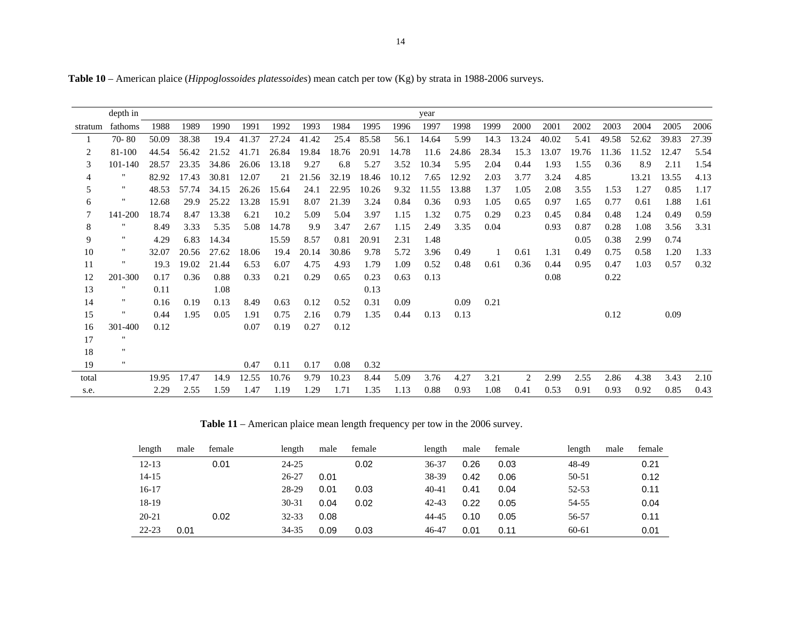|         | depth in           |       |       |       |       |       |       |       |       |       | year  |       |       |       |       |       |       |       |       |       |
|---------|--------------------|-------|-------|-------|-------|-------|-------|-------|-------|-------|-------|-------|-------|-------|-------|-------|-------|-------|-------|-------|
| stratum | fathoms            | 1988  | 1989  | 1990  | 1991  | 1992  | 1993  | 1984  | 1995  | 1996  | 1997  | 1998  | 1999  | 2000  | 2001  | 2002  | 2003  | 2004  | 2005  | 2006  |
|         | $70 - 80$          | 50.09 | 38.38 | 19.4  | 41.37 | 27.24 | 41.42 | 25.4  | 85.58 | 56.1  | 14.64 | 5.99  | 14.3  | 13.24 | 40.02 | 5.41  | 49.58 | 52.62 | 39.83 | 27.39 |
| 2       | 81-100             | 44.54 | 56.42 | 21.52 | 41.71 | 26.84 | 19.84 | 18.76 | 20.91 | 14.78 | 11.6  | 24.86 | 28.34 | 15.3  | 13.07 | 19.76 | 11.36 | 11.52 | 12.47 | 5.54  |
| 3       | 101-140            | 28.57 | 23.35 | 34.86 | 26.06 | 13.18 | 9.27  | 6.8   | 5.27  | 3.52  | 10.34 | 5.95  | 2.04  | 0.44  | 1.93  | 1.55  | 0.36  | 8.9   | 2.11  | 1.54  |
| 4       | $^{\rm{II}}$       | 82.92 | 17.43 | 30.81 | 12.07 | 21    | 21.56 | 32.19 | 18.46 | 10.12 | 7.65  | 12.92 | 2.03  | 3.77  | 3.24  | 4.85  |       | 13.21 | 13.55 | 4.13  |
| 5       | $^{\rm{II}}$       | 48.53 | 57.74 | 34.15 | 26.26 | 15.64 | 24.1  | 22.95 | 10.26 | 9.32  | 11.55 | 13.88 | 1.37  | 1.05  | 2.08  | 3.55  | 1.53  | 1.27  | 0.85  | 1.17  |
| 6       | ×                  | 12.68 | 29.9  | 25.22 | 13.28 | 15.91 | 8.07  | 21.39 | 3.24  | 0.84  | 0.36  | 0.93  | 1.05  | 0.65  | 0.97  | 1.65  | 0.77  | 0.61  | 1.88  | 1.61  |
| 7       | 141-200            | 18.74 | 8.47  | 13.38 | 6.21  | 10.2  | 5.09  | 5.04  | 3.97  | 1.15  | 1.32  | 0.75  | 0.29  | 0.23  | 0.45  | 0.84  | 0.48  | 1.24  | 0.49  | 0.59  |
| 8       | п                  | 8.49  | 3.33  | 5.35  | 5.08  | 14.78 | 9.9   | 3.47  | 2.67  | 1.15  | 2.49  | 3.35  | 0.04  |       | 0.93  | 0.87  | 0.28  | 1.08  | 3.56  | 3.31  |
| 9       | $\pmb{\mathsf{H}}$ | 4.29  | 6.83  | 14.34 |       | 15.59 | 8.57  | 0.81  | 20.91 | 2.31  | 1.48  |       |       |       |       | 0.05  | 0.38  | 2.99  | 0.74  |       |
| 10      | $\pmb{\mathsf{H}}$ | 32.07 | 20.56 | 27.62 | 18.06 | 19.4  | 20.14 | 30.86 | 9.78  | 5.72  | 3.96  | 0.49  |       | 0.61  | 1.31  | 0.49  | 0.75  | 0.58  | 1.20  | 1.33  |
| 11      | $\mathbf{H}$       | 19.3  | 19.02 | 21.44 | 6.53  | 6.07  | 4.75  | 4.93  | 1.79  | 1.09  | 0.52  | 0.48  | 0.61  | 0.36  | 0.44  | 0.95  | 0.47  | 1.03  | 0.57  | 0.32  |
| 12      | 201-300            | 0.17  | 0.36  | 0.88  | 0.33  | 0.21  | 0.29  | 0.65  | 0.23  | 0.63  | 0.13  |       |       |       | 0.08  |       | 0.22  |       |       |       |
| 13      | Ħ                  | 0.11  |       | 1.08  |       |       |       |       | 0.13  |       |       |       |       |       |       |       |       |       |       |       |
| 14      | $\pmb{\mathsf{H}}$ | 0.16  | 0.19  | 0.13  | 8.49  | 0.63  | 0.12  | 0.52  | 0.31  | 0.09  |       | 0.09  | 0.21  |       |       |       |       |       |       |       |
| 15      | Ħ                  | 0.44  | 1.95  | 0.05  | 1.91  | 0.75  | 2.16  | 0.79  | 1.35  | 0.44  | 0.13  | 0.13  |       |       |       |       | 0.12  |       | 0.09  |       |
| 16      | 301-400            | 0.12  |       |       | 0.07  | 0.19  | 0.27  | 0.12  |       |       |       |       |       |       |       |       |       |       |       |       |
| 17      | $\mathbf{H}$       |       |       |       |       |       |       |       |       |       |       |       |       |       |       |       |       |       |       |       |
| 18      | $\pmb{\mathsf{H}}$ |       |       |       |       |       |       |       |       |       |       |       |       |       |       |       |       |       |       |       |
| 19      | $\mathbf{H}$       |       |       |       | 0.47  | 0.11  | 0.17  | 0.08  | 0.32  |       |       |       |       |       |       |       |       |       |       |       |
| total   |                    | 19.95 | 17.47 | 14.9  | 12.55 | 10.76 | 9.79  | 10.23 | 8.44  | 5.09  | 3.76  | 4.27  | 3.21  | 2     | 2.99  | 2.55  | 2.86  | 4.38  | 3.43  | 2.10  |
| s.e.    |                    | 2.29  | 2.55  | 1.59  | 1.47  | 1.19  | 1.29  | 1.71  | 1.35  | 1.13  | 0.88  | 0.93  | 1.08  | 0.41  | 0.53  | 0.91  | 0.93  | 0.92  | 0.85  | 0.43  |

**Table 10** – American plaice (*Hippoglossoides platessoides*) mean catch per tow (Kg) by strata in 1988-2006 surveys.

**Table 11** – American plaice mean length frequency per tow in the 2006 survey.

| length    | male | female | length    | male | female | length    | male | female | length    | male | female |
|-----------|------|--------|-----------|------|--------|-----------|------|--------|-----------|------|--------|
| $12 - 13$ |      | 0.01   | $24 - 25$ |      | 0.02   | 36-37     | 0.26 | 0.03   | 48-49     |      | 0.21   |
| $14 - 15$ |      |        | $26 - 27$ | 0.01 |        | 38-39     | 0.42 | 0.06   | $50 - 51$ |      | 0.12   |
| $16-17$   |      |        | 28-29     | 0.01 | 0.03   | $40 - 41$ | 0.41 | 0.04   | 52-53     |      | 0.11   |
| 18-19     |      |        | $30 - 31$ | 0.04 | 0.02   | $42 - 43$ | 0.22 | 0.05   | 54-55     |      | 0.04   |
| $20 - 21$ |      | 0.02   | $32 - 33$ | 0.08 |        | 44-45     | 0.10 | 0.05   | 56-57     |      | 0.11   |
| $22 - 23$ | 0.01 |        | 34-35     | 0.09 | 0.03   | 46-47     | 0.01 | 0.11   | 60-61     |      | 0.01   |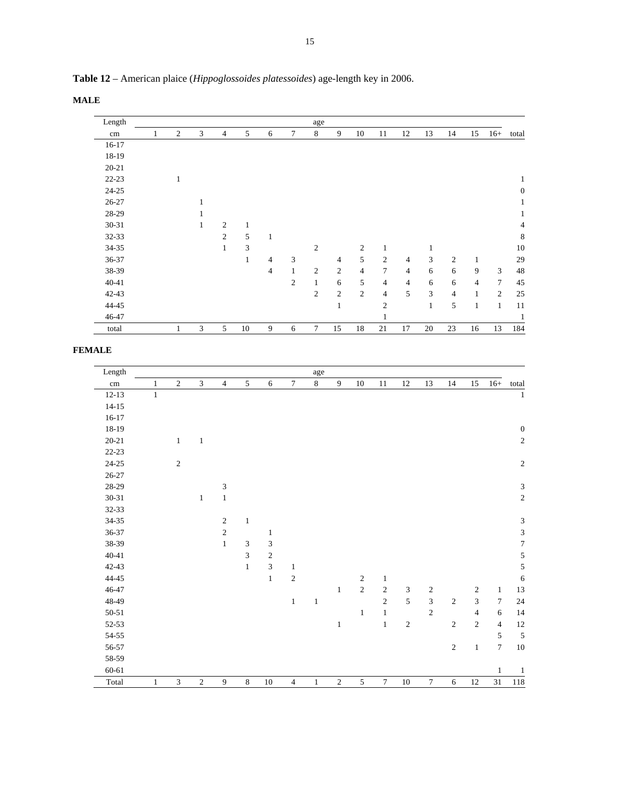**Table 12** – American plaice (*Hippoglossoides platessoides*) age-length key in 2006.

**MALE** 

| Length    |   |                |   |                |    |                |                | age            |                |                |                |                |              |                |                |                |                  |
|-----------|---|----------------|---|----------------|----|----------------|----------------|----------------|----------------|----------------|----------------|----------------|--------------|----------------|----------------|----------------|------------------|
| $\rm cm$  | 1 | $\overline{2}$ | 3 | $\overline{4}$ | 5  | 6              | 7              | 8              | 9              | 10             | 11             | 12             | 13           | 14             | 15             | $16+$          | total            |
| $16-17$   |   |                |   |                |    |                |                |                |                |                |                |                |              |                |                |                |                  |
| 18-19     |   |                |   |                |    |                |                |                |                |                |                |                |              |                |                |                |                  |
| $20 - 21$ |   |                |   |                |    |                |                |                |                |                |                |                |              |                |                |                |                  |
| $22 - 23$ |   | $\mathbf{1}$   |   |                |    |                |                |                |                |                |                |                |              |                |                |                | 1                |
| 24-25     |   |                |   |                |    |                |                |                |                |                |                |                |              |                |                |                | $\boldsymbol{0}$ |
| 26-27     |   |                | 1 |                |    |                |                |                |                |                |                |                |              |                |                |                | $\mathbf{1}$     |
| 28-29     |   |                | 1 |                |    |                |                |                |                |                |                |                |              |                |                |                | $\mathbf{1}$     |
| 30-31     |   |                | 1 | $\mathfrak{2}$ | 1  |                |                |                |                |                |                |                |              |                |                |                | 4                |
| 32-33     |   |                |   | 2              | 5  | 1              |                |                |                |                |                |                |              |                |                |                | 8                |
| 34-35     |   |                |   | $\mathbf{1}$   | 3  |                |                | $\overline{2}$ |                | $\overline{c}$ | $\mathbf{1}$   |                | $\mathbf{1}$ |                |                |                | 10               |
| 36-37     |   |                |   |                | 1  | $\overline{4}$ | 3              |                | $\overline{4}$ | 5              | $\overline{c}$ | 4              | 3            | $\mathfrak{2}$ | 1              |                | 29               |
| 38-39     |   |                |   |                |    | $\overline{4}$ | $\mathbf{1}$   | $\overline{2}$ | $\overline{2}$ | $\overline{4}$ | $\overline{7}$ | $\overline{4}$ | 6            | 6              | 9              | 3              | 48               |
| 40-41     |   |                |   |                |    |                | $\overline{c}$ | $\mathbf{1}$   | 6              | 5              | $\overline{4}$ | $\overline{4}$ | 6            | 6              | $\overline{4}$ | $\overline{7}$ | 45               |
| $42 - 43$ |   |                |   |                |    |                |                | $\overline{2}$ | $\overline{2}$ | $\overline{2}$ | $\overline{4}$ | 5              | 3            | $\overline{4}$ | $\mathbf{1}$   | $\overline{c}$ | 25               |
| 44-45     |   |                |   |                |    |                |                |                | $\mathbf{1}$   |                | $\overline{2}$ |                | $\mathbf{1}$ | 5              | $\mathbf{1}$   | $\mathbf{1}$   | 11               |
| 46-47     |   |                |   |                |    |                |                |                |                |                | $\mathbf{1}$   |                |              |                |                |                | 1                |
| total     |   |                | 3 | 5              | 10 | 9              | 6              | 7              | 15             | 18             | 21             | 17             | 20           | 23             | 16             | 13             | 184              |

**FEMALE** 

| Length     |              |                |                |                             |                             |                  |                  | age          |                |              |                  |                             |                  |            |                |                  |                             |
|------------|--------------|----------------|----------------|-----------------------------|-----------------------------|------------------|------------------|--------------|----------------|--------------|------------------|-----------------------------|------------------|------------|----------------|------------------|-----------------------------|
| $\,\rm cm$ | $\mathbf{1}$ | $\overline{2}$ | $\mathfrak{Z}$ | $\sqrt{4}$                  | $\sqrt{5}$                  | $\sqrt{6}$       | $\boldsymbol{7}$ | $\,8\,$      | $\overline{9}$ | $10\,$       | 11               | $12\,$                      | 13               | $14\,$     | 15             | $16+$            | total                       |
| $12 - 13$  | $\mathbf{1}$ |                |                |                             |                             |                  |                  |              |                |              |                  |                             |                  |            |                |                  | $\,1\,$                     |
| $14 - 15$  |              |                |                |                             |                             |                  |                  |              |                |              |                  |                             |                  |            |                |                  |                             |
| $16-17$    |              |                |                |                             |                             |                  |                  |              |                |              |                  |                             |                  |            |                |                  |                             |
| $18-19$    |              |                |                |                             |                             |                  |                  |              |                |              |                  |                             |                  |            |                |                  | $\boldsymbol{0}$            |
| $20 - 21$  |              | $\mathbf{1}$   | $\mathbf{1}$   |                             |                             |                  |                  |              |                |              |                  |                             |                  |            |                |                  | $\sqrt{2}$                  |
| $22-23$    |              |                |                |                             |                             |                  |                  |              |                |              |                  |                             |                  |            |                |                  |                             |
| $24 - 25$  |              | $\sqrt{2}$     |                |                             |                             |                  |                  |              |                |              |                  |                             |                  |            |                |                  | $\sqrt{2}$                  |
| $26 - 27$  |              |                |                |                             |                             |                  |                  |              |                |              |                  |                             |                  |            |                |                  |                             |
| 28-29      |              |                |                | $\ensuremath{\mathfrak{Z}}$ |                             |                  |                  |              |                |              |                  |                             |                  |            |                |                  | $\ensuremath{\mathfrak{Z}}$ |
| $30 - 31$  |              |                | $\mathbf{1}$   | $\,1\,$                     |                             |                  |                  |              |                |              |                  |                             |                  |            |                |                  | $\sqrt{2}$                  |
| $32 - 33$  |              |                |                |                             |                             |                  |                  |              |                |              |                  |                             |                  |            |                |                  |                             |
| $34 - 35$  |              |                |                | $\sqrt{2}$                  | $\,1\,$                     |                  |                  |              |                |              |                  |                             |                  |            |                |                  | $\ensuremath{\mathfrak{Z}}$ |
| $36 - 37$  |              |                |                | $\sqrt{2}$                  |                             | $\mathbf{1}$     |                  |              |                |              |                  |                             |                  |            |                |                  | $\overline{3}$              |
| 38-39      |              |                |                | $1\,$                       | $\ensuremath{\mathfrak{Z}}$ | $\mathfrak z$    |                  |              |                |              |                  |                             |                  |            |                |                  | $\boldsymbol{7}$            |
| $40 - 41$  |              |                |                |                             | $\sqrt{3}$                  | $\boldsymbol{2}$ |                  |              |                |              |                  |                             |                  |            |                |                  | $\sqrt{5}$                  |
| $42 - 43$  |              |                |                |                             | $\,1\,$                     | $\mathfrak{Z}$   | $\mathbf{1}$     |              |                |              |                  |                             |                  |            |                |                  | $\overline{5}$              |
| $44 - 45$  |              |                |                |                             |                             | $\,1\,$          | $\sqrt{2}$       |              |                | $\sqrt{2}$   | $\mathbf{1}$     |                             |                  |            |                |                  | $\sqrt{6}$                  |
| 46-47      |              |                |                |                             |                             |                  |                  |              | $\,1$          | $\sqrt{2}$   | $\sqrt{2}$       | $\ensuremath{\mathfrak{Z}}$ | $\boldsymbol{2}$ |            | $\overline{c}$ | $\mathbf{1}$     | 13                          |
| 48-49      |              |                |                |                             |                             |                  | $\mathbf{1}$     | $\mathbf{1}$ |                |              | $\sqrt{2}$       | 5                           | $\overline{3}$   | $\sqrt{2}$ | $\mathfrak{Z}$ | $\tau$           | 24                          |
| $50 - 51$  |              |                |                |                             |                             |                  |                  |              |                | $\mathbf{1}$ | $\mathbf{1}$     |                             | $\sqrt{2}$       |            | $\overline{4}$ | 6                | 14                          |
| $52 - 53$  |              |                |                |                             |                             |                  |                  |              | $\,1\,$        |              | $\mathbf{1}$     | $\sqrt{2}$                  |                  | $\sqrt{2}$ | $\sqrt{2}$     | $\overline{4}$   | 12                          |
| $54 - 55$  |              |                |                |                             |                             |                  |                  |              |                |              |                  |                             |                  |            |                | 5                | $\sqrt{5}$                  |
| 56-57      |              |                |                |                             |                             |                  |                  |              |                |              |                  |                             |                  | $\sqrt{2}$ | $\mathbf{1}$   | $\boldsymbol{7}$ | $10\,$                      |
| 58-59      |              |                |                |                             |                             |                  |                  |              |                |              |                  |                             |                  |            |                |                  |                             |
| 60-61      |              |                |                |                             |                             |                  |                  |              |                |              |                  |                             |                  |            |                | $\mathbf{1}$     | $\mathbf{1}$                |
| Total      | $\mathbf{1}$ | $\mathfrak{Z}$ | $\sqrt{2}$     | 9                           | $\,8\,$                     | $10\,$           | $\overline{4}$   | $\mathbf{1}$ | $\sqrt{2}$     | $\sqrt{5}$   | $\boldsymbol{7}$ | $10\,$                      | $\boldsymbol{7}$ | $\sqrt{6}$ | $12\,$         | 31               | $118\,$                     |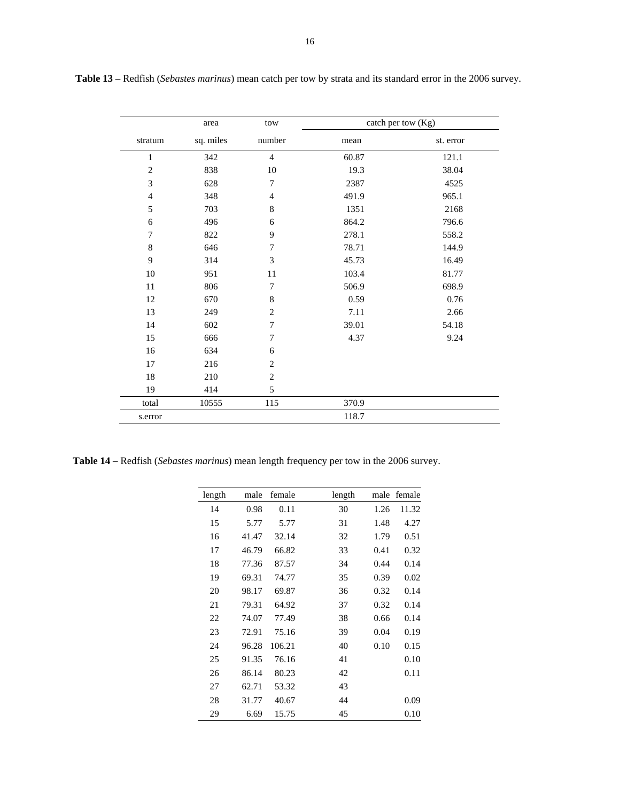|                | area      | tow              |       | catch per tow (Kg) |
|----------------|-----------|------------------|-------|--------------------|
| stratum        | sq. miles | number           | mean  | st. error          |
| $\mathbf{1}$   | 342       | $\overline{4}$   | 60.87 | 121.1              |
| $\overline{2}$ | 838       | 10               | 19.3  | 38.04              |
| 3              | 628       | $\boldsymbol{7}$ | 2387  | 4525               |
| $\overline{4}$ | 348       | $\overline{4}$   | 491.9 | 965.1              |
| 5              | 703       | 8                | 1351  | 2168               |
| 6              | 496       | 6                | 864.2 | 796.6              |
| $\overline{7}$ | 822       | 9                | 278.1 | 558.2              |
| $\,8\,$        | 646       | $\boldsymbol{7}$ | 78.71 | 144.9              |
| 9              | 314       | 3                | 45.73 | 16.49              |
| 10             | 951       | 11               | 103.4 | 81.77              |
| 11             | 806       | $\boldsymbol{7}$ | 506.9 | 698.9              |
| 12             | 670       | $\,$ 8 $\,$      | 0.59  | 0.76               |
| 13             | 249       | $\overline{2}$   | 7.11  | 2.66               |
| 14             | 602       | $\boldsymbol{7}$ | 39.01 | 54.18              |
| 15             | 666       | $\tau$           | 4.37  | 9.24               |
| 16             | 634       | 6                |       |                    |
| 17             | 216       | $\mathbf{2}$     |       |                    |
| $18\,$         | 210       | $\overline{2}$   |       |                    |
| 19             | 414       | 5                |       |                    |
| total          | 10555     | 115              | 370.9 |                    |
| s.error        |           |                  | 118.7 |                    |

 **Table 13** – Redfish (*Sebastes marinus*) mean catch per tow by strata and its standard error in the 2006 survey.

**Table 14** – Redfish (*Sebastes marinus*) mean length frequency per tow in the 2006 survey.

| length | male  | female | length |      | male female |
|--------|-------|--------|--------|------|-------------|
| 14     | 0.98  | 0.11   | 30     | 1.26 | 11.32       |
| 15     | 5.77  | 5.77   | 31     | 1.48 | 4.27        |
| 16     | 41.47 | 32.14  | 32     | 1.79 | 0.51        |
| 17     | 46.79 | 66.82  | 33     | 0.41 | 0.32        |
| 18     | 77.36 | 87.57  | 34     | 0.44 | 0.14        |
| 19     | 69.31 | 74.77  | 35     | 0.39 | 0.02        |
| 20     | 98.17 | 69.87  | 36     | 0.32 | 0.14        |
| 21     | 79.31 | 64.92  | 37     | 0.32 | 0.14        |
| 22     | 74.07 | 77.49  | 38     | 0.66 | 0.14        |
| 23     | 72.91 | 75.16  | 39     | 0.04 | 0.19        |
| 24     | 96.28 | 106.21 | 40     | 0.10 | 0.15        |
| 25     | 91.35 | 76.16  | 41     |      | 0.10        |
| 26     | 86.14 | 80.23  | 42     |      | 0.11        |
| 27     | 62.71 | 53.32  | 43     |      |             |
| 28     | 31.77 | 40.67  | 44     |      | 0.09        |
| 29     | 6.69  | 15.75  | 45     |      | 0.10        |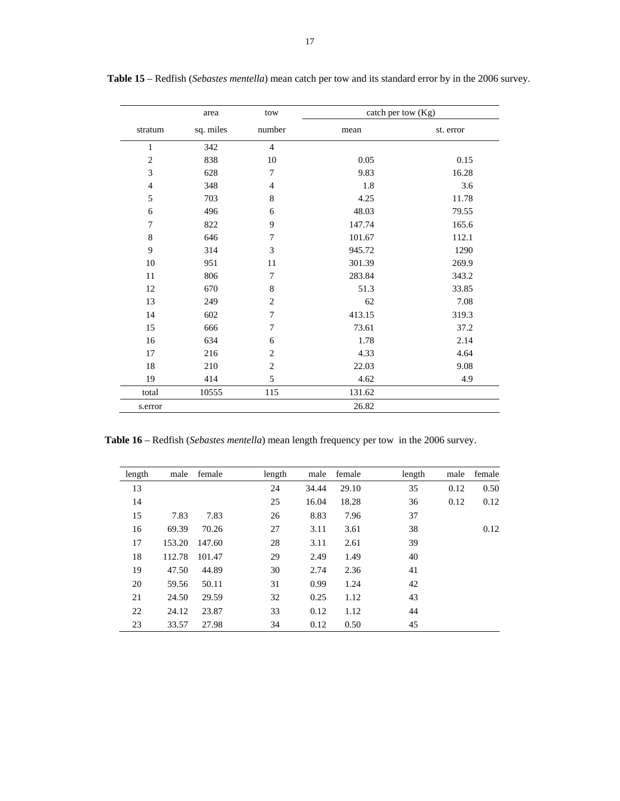|                | area      | tow              | catch per tow $(Kg)$ |           |
|----------------|-----------|------------------|----------------------|-----------|
| stratum        | sq. miles | number           | mean                 | st. error |
| $\mathbf{1}$   | 342       | $\overline{4}$   |                      |           |
| $\overline{c}$ | 838       | 10               | 0.05                 | 0.15      |
| 3              | 628       | $\overline{7}$   | 9.83                 | 16.28     |
| $\overline{4}$ | 348       | $\overline{4}$   | 1.8                  | 3.6       |
| 5              | 703       | $\,$ 8 $\,$      | 4.25                 | 11.78     |
| 6              | 496       | 6                | 48.03                | 79.55     |
| 7              | 822       | 9                | 147.74               | 165.6     |
| $\,$ 8 $\,$    | 646       | $\boldsymbol{7}$ | 101.67               | 112.1     |
| 9              | 314       | 3                | 945.72               | 1290      |
| 10             | 951       | 11               | 301.39               | 269.9     |
| 11             | 806       | $\boldsymbol{7}$ | 283.84               | 343.2     |
| 12             | 670       | $\,$ 8 $\,$      | 51.3                 | 33.85     |
| 13             | 249       | $\mathbf{2}$     | 62                   | 7.08      |
| 14             | 602       | $\overline{7}$   | 413.15               | 319.3     |
| 15             | 666       | $\boldsymbol{7}$ | 73.61                | 37.2      |
| 16             | 634       | 6                | 1.78                 | 2.14      |
| 17             | 216       | $\mathbf{2}$     | 4.33                 | 4.64      |
| 18             | 210       | $\sqrt{2}$       | 22.03                | 9.08      |
| 19             | 414       | 5                | 4.62                 | 4.9       |
| total          | 10555     | 115              | 131.62               |           |
| s.error        |           |                  | 26.82                |           |

 **Table 15** – Redfish (*Sebastes mentella*) mean catch per tow and its standard error by in the 2006 survey.

**Table 16** – Redfish (*Sebastes mentella*) mean length frequency per tow in the 2006 survey.

| length | male   | female | length | male  | female | length | male | female |
|--------|--------|--------|--------|-------|--------|--------|------|--------|
| 13     |        |        | 24     | 34.44 | 29.10  | 35     | 0.12 | 0.50   |
| 14     |        |        | 25     | 16.04 | 18.28  | 36     | 0.12 | 0.12   |
| 15     | 7.83   | 7.83   | 26     | 8.83  | 7.96   | 37     |      |        |
| 16     | 69.39  | 70.26  | 27     | 3.11  | 3.61   | 38     |      | 0.12   |
| 17     | 153.20 | 147.60 | 28     | 3.11  | 2.61   | 39     |      |        |
| 18     | 112.78 | 101.47 | 29     | 2.49  | 1.49   | 40     |      |        |
| 19     | 47.50  | 44.89  | 30     | 2.74  | 2.36   | 41     |      |        |
| 20     | 59.56  | 50.11  | 31     | 0.99  | 1.24   | 42     |      |        |
| 21     | 24.50  | 29.59  | 32     | 0.25  | 1.12   | 43     |      |        |
| 22     | 24.12  | 23.87  | 33     | 0.12  | 1.12   | 44     |      |        |
| 23     | 33.57  | 27.98  | 34     | 0.12  | 0.50   | 45     |      |        |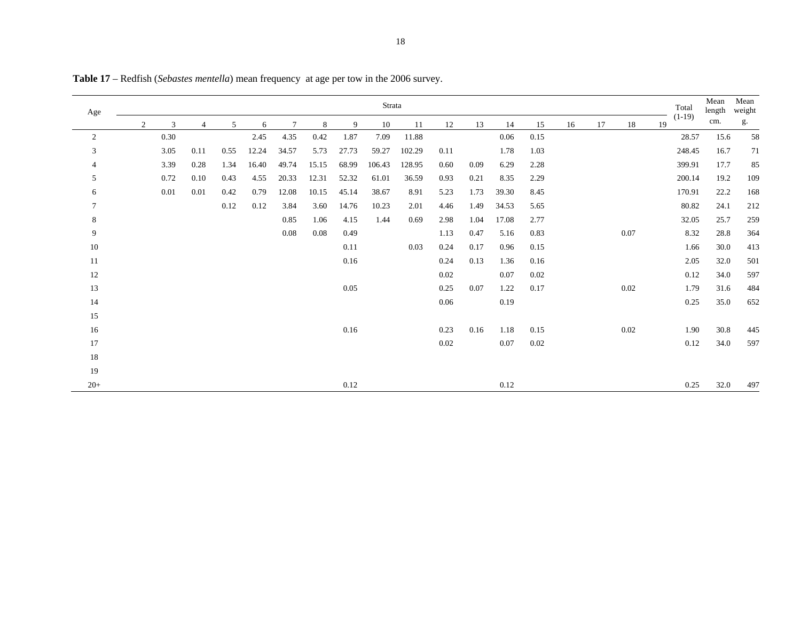| Age             |   | Strata |                |      |       |                |       |       |        |        |      |      |       | Total<br>$(1-19)$ | Mean<br>length | Mean<br>weight |      |    |        |      |     |
|-----------------|---|--------|----------------|------|-------|----------------|-------|-------|--------|--------|------|------|-------|-------------------|----------------|----------------|------|----|--------|------|-----|
|                 | 2 | 3      | $\overline{4}$ | 5    | 6     | $\overline{7}$ | 8     | 9     | 10     | 11     | 12   | 13   | 14    | 15                | 16             | 17             | 18   | 19 |        | cm.  | g.  |
| 2               |   | 0.30   |                |      | 2.45  | 4.35           | 0.42  | 1.87  | 7.09   | 11.88  |      |      | 0.06  | 0.15              |                |                |      |    | 28.57  | 15.6 | 58  |
| 3               |   | 3.05   | 0.11           | 0.55 | 12.24 | 34.57          | 5.73  | 27.73 | 59.27  | 102.29 | 0.11 |      | 1.78  | 1.03              |                |                |      |    | 248.45 | 16.7 | 71  |
| $\overline{4}$  |   | 3.39   | 0.28           | 1.34 | 16.40 | 49.74          | 15.15 | 68.99 | 106.43 | 128.95 | 0.60 | 0.09 | 6.29  | 2.28              |                |                |      |    | 399.91 | 17.7 | 85  |
| 5               |   | 0.72   | 0.10           | 0.43 | 4.55  | 20.33          | 12.31 | 52.32 | 61.01  | 36.59  | 0.93 | 0.21 | 8.35  | 2.29              |                |                |      |    | 200.14 | 19.2 | 109 |
| 6               |   | 0.01   | 0.01           | 0.42 | 0.79  | 12.08          | 10.15 | 45.14 | 38.67  | 8.91   | 5.23 | 1.73 | 39.30 | 8.45              |                |                |      |    | 170.91 | 22.2 | 168 |
| $7\phantom{.0}$ |   |        |                | 0.12 | 0.12  | 3.84           | 3.60  | 14.76 | 10.23  | 2.01   | 4.46 | 1.49 | 34.53 | 5.65              |                |                |      |    | 80.82  | 24.1 | 212 |
| 8               |   |        |                |      |       | 0.85           | 1.06  | 4.15  | 1.44   | 0.69   | 2.98 | 1.04 | 17.08 | 2.77              |                |                |      |    | 32.05  | 25.7 | 259 |
| 9               |   |        |                |      |       | 0.08           | 0.08  | 0.49  |        |        | 1.13 | 0.47 | 5.16  | 0.83              |                |                | 0.07 |    | 8.32   | 28.8 | 364 |
| 10              |   |        |                |      |       |                |       | 0.11  |        | 0.03   | 0.24 | 0.17 | 0.96  | 0.15              |                |                |      |    | 1.66   | 30.0 | 413 |
| $11\,$          |   |        |                |      |       |                |       | 0.16  |        |        | 0.24 | 0.13 | 1.36  | 0.16              |                |                |      |    | 2.05   | 32.0 | 501 |
| 12              |   |        |                |      |       |                |       |       |        |        | 0.02 |      | 0.07  | 0.02              |                |                |      |    | 0.12   | 34.0 | 597 |
| 13              |   |        |                |      |       |                |       | 0.05  |        |        | 0.25 | 0.07 | 1.22  | 0.17              |                |                | 0.02 |    | 1.79   | 31.6 | 484 |
| 14              |   |        |                |      |       |                |       |       |        |        | 0.06 |      | 0.19  |                   |                |                |      |    | 0.25   | 35.0 | 652 |
| 15              |   |        |                |      |       |                |       |       |        |        |      |      |       |                   |                |                |      |    |        |      |     |
| 16              |   |        |                |      |       |                |       | 0.16  |        |        | 0.23 | 0.16 | 1.18  | 0.15              |                |                | 0.02 |    | 1.90   | 30.8 | 445 |
| 17              |   |        |                |      |       |                |       |       |        |        | 0.02 |      | 0.07  | 0.02              |                |                |      |    | 0.12   | 34.0 | 597 |
| 18              |   |        |                |      |       |                |       |       |        |        |      |      |       |                   |                |                |      |    |        |      |     |
| 19              |   |        |                |      |       |                |       |       |        |        |      |      |       |                   |                |                |      |    |        |      |     |
| $20+$           |   |        |                |      |       |                |       | 0.12  |        |        |      |      | 0.12  |                   |                |                |      |    | 0.25   | 32.0 | 497 |

**Table 17** – Redfish (*Sebastes mentella*) mean frequency at age per tow in the 2006 survey.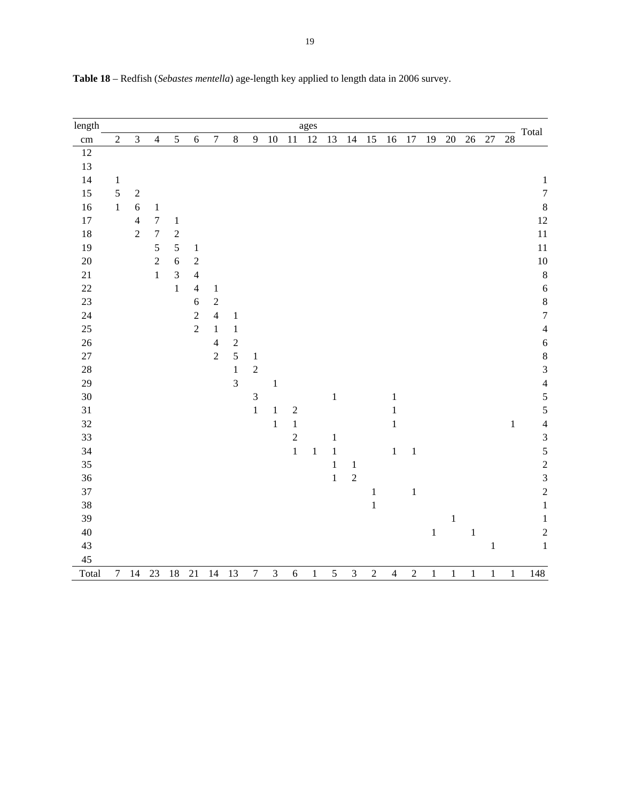| length |                |                |                  |                |                |                  |                |                  |                |                | ages    |              |                |                |                |            |         |         |        |         |                 |                                                      |
|--------|----------------|----------------|------------------|----------------|----------------|------------------|----------------|------------------|----------------|----------------|---------|--------------|----------------|----------------|----------------|------------|---------|---------|--------|---------|-----------------|------------------------------------------------------|
| cm     | $\sqrt{2}$     | $\overline{3}$ | $\overline{4}$   | 5              | $\sqrt{6}$     | $\boldsymbol{7}$ | $\,8\,$        | 9                | $10\,$         | 11             | 12      | 13           | 14             | 15             | 16             | $17\,$     | 19      | $20\,$  | $26\,$ | $27\,$  | $\overline{28}$ | Total                                                |
| $12\,$ |                |                |                  |                |                |                  |                |                  |                |                |         |              |                |                |                |            |         |         |        |         |                 |                                                      |
| 13     |                |                |                  |                |                |                  |                |                  |                |                |         |              |                |                |                |            |         |         |        |         |                 |                                                      |
| 14     | $\mathbf{1}$   |                |                  |                |                |                  |                |                  |                |                |         |              |                |                |                |            |         |         |        |         |                 | $\,1$                                                |
| 15     | 5              | $\sqrt{2}$     |                  |                |                |                  |                |                  |                |                |         |              |                |                |                |            |         |         |        |         |                 | $\overline{7}$                                       |
| 16     | $\mathbf 1$    | $\sqrt{6}$     | $\mathbf 1$      |                |                |                  |                |                  |                |                |         |              |                |                |                |            |         |         |        |         |                 | 8                                                    |
| $17\,$ |                | $\overline{4}$ | $\boldsymbol{7}$ | $1\,$          |                |                  |                |                  |                |                |         |              |                |                |                |            |         |         |        |         |                 | 12                                                   |
| 18     |                | $\sqrt{2}$     | $\boldsymbol{7}$ | $\sqrt{2}$     |                |                  |                |                  |                |                |         |              |                |                |                |            |         |         |        |         |                 | 11                                                   |
| 19     |                |                | 5                | $\sqrt{5}$     | $\,1\,$        |                  |                |                  |                |                |         |              |                |                |                |            |         |         |        |         |                 | 11                                                   |
| $20\,$ |                |                | $\overline{2}$   | $\sqrt{6}$     | $\sqrt{2}$     |                  |                |                  |                |                |         |              |                |                |                |            |         |         |        |         |                 | $10\,$                                               |
| $21\,$ |                |                | $\,1$            | $\overline{3}$ | $\overline{4}$ |                  |                |                  |                |                |         |              |                |                |                |            |         |         |        |         |                 | 8                                                    |
| 22     |                |                |                  | $\mathbf{1}$   | $\overline{4}$ | $\mathbf{1}$     |                |                  |                |                |         |              |                |                |                |            |         |         |        |         |                 | $\overline{6}$                                       |
| 23     |                |                |                  |                | $\overline{6}$ | $\sqrt{2}$       |                |                  |                |                |         |              |                |                |                |            |         |         |        |         |                 | 8                                                    |
| 24     |                |                |                  |                | $\overline{c}$ | $\overline{4}$   | $\,1\,$        |                  |                |                |         |              |                |                |                |            |         |         |        |         |                 | $\overline{7}$                                       |
| 25     |                |                |                  |                | $\overline{c}$ | $\mathbf 1$      | $\,1$          |                  |                |                |         |              |                |                |                |            |         |         |        |         |                 | $\overline{4}$                                       |
| 26     |                |                |                  |                |                | $\overline{4}$   | $\sqrt{2}$     |                  |                |                |         |              |                |                |                |            |         |         |        |         |                 | 6                                                    |
| $27\,$ |                |                |                  |                |                | $\overline{2}$   | $\overline{5}$ | $\mathbf{1}$     |                |                |         |              |                |                |                |            |         |         |        |         |                 | $\begin{array}{c} 8 \\ 3 \end{array}$                |
| $28\,$ |                |                |                  |                |                |                  | $\,1$          | $\sqrt{2}$       |                |                |         |              |                |                |                |            |         |         |        |         |                 |                                                      |
| 29     |                |                |                  |                |                |                  | $\overline{3}$ |                  | $\,1\,$        |                |         |              |                |                |                |            |         |         |        |         |                 | $\overline{4}$                                       |
| $30\,$ |                |                |                  |                |                |                  |                | $\overline{3}$   |                |                |         | $\,1\,$      |                |                | $\,1$          |            |         |         |        |         |                 | 5                                                    |
| 31     |                |                |                  |                |                |                  |                | $\,1\,$          | $\mathbf{1}$   | $\sqrt{2}$     |         |              |                |                | $\,1$          |            |         |         |        |         |                 | $\overline{5}$                                       |
| $32\,$ |                |                |                  |                |                |                  |                |                  | $\,1\,$        | $\,1$          |         |              |                |                | $\,1\,$        |            |         |         |        |         | $\,1\,$         | $\overline{\mathcal{L}}$                             |
| 33     |                |                |                  |                |                |                  |                |                  |                | $\overline{c}$ |         | $\mathbf{1}$ |                |                |                |            |         |         |        |         |                 |                                                      |
| 34     |                |                |                  |                |                |                  |                |                  |                | $\mathbf{1}$   | $\,1\,$ | $\,1\,$      |                |                | $\,1$          | $\,1\,$    |         |         |        |         |                 |                                                      |
| 35     |                |                |                  |                |                |                  |                |                  |                |                |         | $\,1$        | $\,1\,$        |                |                |            |         |         |        |         |                 | $\begin{array}{c} 3 \\ 5 \\ 2 \\ 3 \\ 2 \end{array}$ |
| 36     |                |                |                  |                |                |                  |                |                  |                |                |         | $\,1$        | $\overline{2}$ |                |                |            |         |         |        |         |                 |                                                      |
| 37     |                |                |                  |                |                |                  |                |                  |                |                |         |              |                | $\,1$          |                | $\,1$      |         |         |        |         |                 |                                                      |
| 38     |                |                |                  |                |                |                  |                |                  |                |                |         |              |                | $\mathbf 1$    |                |            |         |         |        |         |                 | $\,1$                                                |
| 39     |                |                |                  |                |                |                  |                |                  |                |                |         |              |                |                |                |            |         | $\,1\,$ |        |         |                 | $\mathbf 1$                                          |
| $40\,$ |                |                |                  |                |                |                  |                |                  |                |                |         |              |                |                |                |            | $\,1\,$ |         | $\,1$  |         |                 | $\overline{c}$                                       |
| 43     |                |                |                  |                |                |                  |                |                  |                |                |         |              |                |                |                |            |         |         |        | $\,1\,$ |                 | $\mathbf{1}$                                         |
| 45     |                |                |                  |                |                |                  |                |                  |                |                |         |              |                |                |                |            |         |         |        |         |                 |                                                      |
| Total  | $\overline{7}$ | $14\,$         | $23\,$           | 18             | 21             | 14               | 13             | $\boldsymbol{7}$ | $\mathfrak{Z}$ | $\sqrt{6}$     | $\,1$   | 5            | $\overline{3}$ | $\overline{c}$ | $\overline{4}$ | $\sqrt{2}$ | $\,1\,$ | $\,1$   | $\,1$  | $\,1$   | $\,1$           | 148                                                  |

**Table 18** – Redfish (*Sebastes mentella*) age-length key applied to length data in 2006 survey.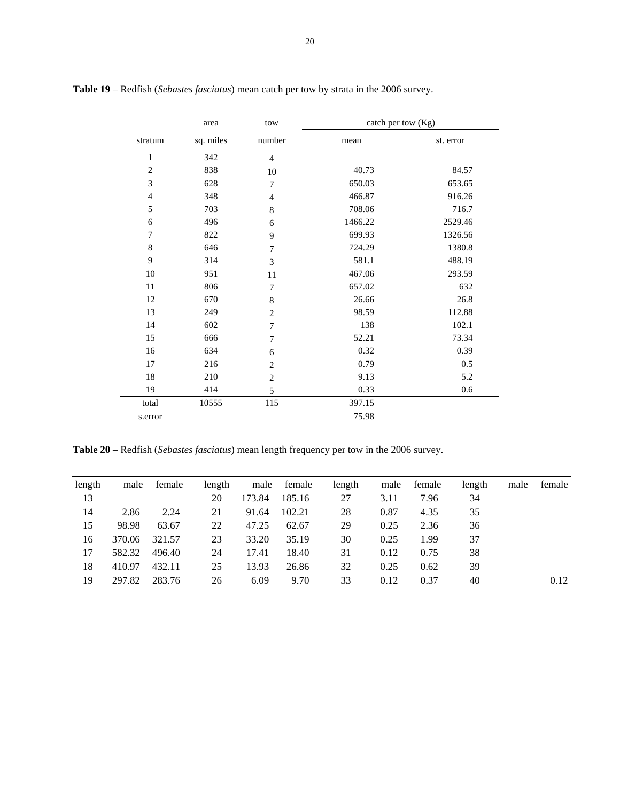|                | area      | tow              | catch per tow (Kg) |           |
|----------------|-----------|------------------|--------------------|-----------|
| stratum        | sq. miles | number           | mean               | st. error |
| $\mathbf{1}$   | 342       | $\overline{4}$   |                    |           |
| $\overline{2}$ | 838       | 10               | 40.73              | 84.57     |
| 3              | 628       | $\overline{7}$   | 650.03             | 653.65    |
| $\overline{4}$ | 348       | $\overline{4}$   | 466.87             | 916.26    |
| 5              | 703       | $\,$ 8 $\,$      | 708.06             | 716.7     |
| 6              | 496       | 6                | 1466.22            | 2529.46   |
| 7              | 822       | 9                | 699.93             | 1326.56   |
| 8              | 646       | $\boldsymbol{7}$ | 724.29             | 1380.8    |
| 9              | 314       | 3                | 581.1              | 488.19    |
| 10             | 951       | 11               | 467.06             | 293.59    |
| 11             | 806       | $\tau$           | 657.02             | 632       |
| 12             | 670       | 8                | 26.66              | 26.8      |
| 13             | 249       | $\overline{2}$   | 98.59              | 112.88    |
| 14             | 602       | $\tau$           | 138                | 102.1     |
| 15             | 666       | $\overline{7}$   | 52.21              | 73.34     |
| 16             | 634       | 6                | 0.32               | 0.39      |
| 17             | 216       | $\mathbf{2}$     | 0.79               | 0.5       |
| 18             | 210       | $\mathbf{2}$     | 9.13               | 5.2       |
| 19             | 414       | 5                | 0.33               | 0.6       |
| total          | 10555     | 115              | 397.15             |           |
| s.error        |           |                  | 75.98              |           |

**Table 19** – Redfish (*Sebastes fasciatus*) mean catch per tow by strata in the 2006 survey.

**Table 20** – Redfish (*Sebastes fasciatus*) mean length frequency per tow in the 2006 survey.

| length | male   | female | length | male   | female | length | male | female | length | male | female |
|--------|--------|--------|--------|--------|--------|--------|------|--------|--------|------|--------|
| 13     |        |        | 20     | 173.84 | 185.16 | 27     | 3.11 | 7.96   | 34     |      |        |
| 14     | 2.86   | 2.24   | 21     | 91.64  | 102.21 | 28     | 0.87 | 4.35   | 35     |      |        |
| 15     | 98.98  | 63.67  | 22     | 47.25  | 62.67  | 29     | 0.25 | 2.36   | 36     |      |        |
| 16     | 370.06 | 321.57 | 23     | 33.20  | 35.19  | 30     | 0.25 | 1.99   | 37     |      |        |
| 17     | 582.32 | 496.40 | 24     | 17.41  | 18.40  | 31     | 0.12 | 0.75   | 38     |      |        |
| 18     | 410.97 | 432.11 | 25     | 13.93  | 26.86  | 32     | 0.25 | 0.62   | 39     |      |        |
| 19     | 297.82 | 283.76 | 26     | 6.09   | 9.70   | 33     | 0.12 | 0.37   | 40     |      | 0.12   |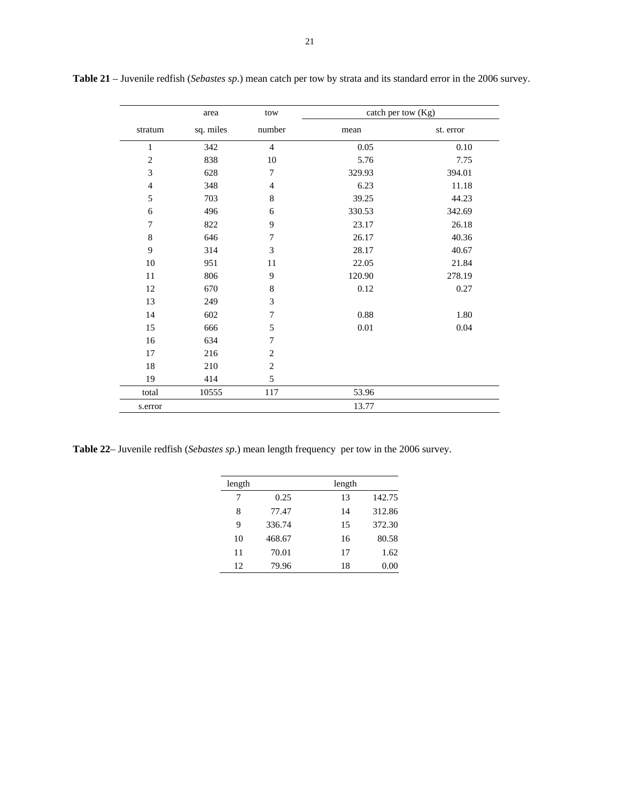|                | area      | tow              | catch per tow (Kg) |           |
|----------------|-----------|------------------|--------------------|-----------|
| stratum        | sq. miles | number           | mean               | st. error |
| $\mathbf{1}$   | 342       | $\overline{4}$   | 0.05               | 0.10      |
| $\mathbf{2}$   | 838       | 10               | 5.76               | 7.75      |
| 3              | 628       | $\boldsymbol{7}$ | 329.93             | 394.01    |
| $\overline{4}$ | 348       | $\overline{4}$   | 6.23               | 11.18     |
| 5              | 703       | $\,$ 8 $\,$      | 39.25              | 44.23     |
| 6              | 496       | 6                | 330.53             | 342.69    |
| 7              | 822       | 9                | 23.17              | 26.18     |
| $\,$ 8 $\,$    | 646       | $\overline{7}$   | 26.17              | 40.36     |
| 9              | 314       | 3                | 28.17              | 40.67     |
| 10             | 951       | 11               | 22.05              | 21.84     |
| 11             | 806       | 9                | 120.90             | 278.19    |
| 12             | 670       | $\,$ $\,$        | 0.12               | 0.27      |
| 13             | 249       | 3                |                    |           |
| 14             | 602       | $\boldsymbol{7}$ | 0.88               | 1.80      |
| 15             | 666       | 5                | 0.01               | 0.04      |
| 16             | 634       | $\overline{7}$   |                    |           |
| 17             | 216       | $\mathbf{2}$     |                    |           |
| 18             | 210       | $\mathbf{2}$     |                    |           |
| 19             | 414       | 5                |                    |           |
| total          | 10555     | 117              | 53.96              |           |
| s.error        |           |                  | 13.77              |           |

**Table 21** – Juvenile redfish (*Sebastes sp*.) mean catch per tow by strata and its standard error in the 2006 survey.

**Table 22**– Juvenile redfish (*Sebastes sp*.) mean length frequency per tow in the 2006 survey.

| length |        | length |        |
|--------|--------|--------|--------|
| 7      | 0.25   | 13     | 142.75 |
| 8      | 77.47  | 14     | 312.86 |
| 9      | 336.74 | 15     | 372.30 |
| 10     | 468.67 | 16     | 80.58  |
| 11     | 70.01  | 17     | 1.62   |
| 12     | 79.96  | 18     | 0.00   |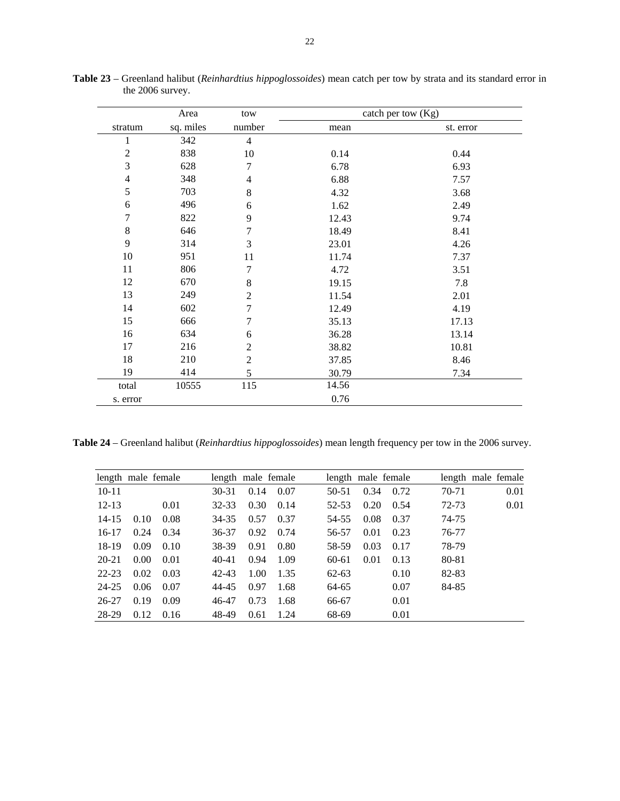|                | Area      | tow                      |       | catch per tow $(Kg)$ |
|----------------|-----------|--------------------------|-------|----------------------|
| stratum        | sq. miles | number                   | mean  | st. error            |
| $\mathbf{1}$   | 342       | $\overline{4}$           |       |                      |
| $\overline{c}$ | 838       | 10                       | 0.14  | 0.44                 |
| 3              | 628       | 7                        | 6.78  | 6.93                 |
| $\overline{4}$ | 348       | $\overline{\mathcal{L}}$ | 6.88  | 7.57                 |
| 5              | 703       | $8\,$                    | 4.32  | 3.68                 |
| 6              | 496       | 6                        | 1.62  | 2.49                 |
| $\overline{7}$ | 822       | 9                        | 12.43 | 9.74                 |
| $\,8\,$        | 646       | $\boldsymbol{7}$         | 18.49 | 8.41                 |
| 9              | 314       | 3                        | 23.01 | 4.26                 |
| 10             | 951       | 11                       | 11.74 | 7.37                 |
| 11             | 806       | 7                        | 4.72  | 3.51                 |
| 12             | 670       | $8\,$                    | 19.15 | 7.8                  |
| 13             | 249       | $\overline{2}$           | 11.54 | 2.01                 |
| 14             | 602       | $\tau$                   | 12.49 | 4.19                 |
| 15             | 666       | $\tau$                   | 35.13 | 17.13                |
| 16             | 634       | 6                        | 36.28 | 13.14                |
| 17             | 216       | $\overline{2}$           | 38.82 | 10.81                |
| 18             | 210       | $\overline{2}$           | 37.85 | 8.46                 |
| 19             | 414       | 5                        | 30.79 | 7.34                 |
| total          | 10555     | 115                      | 14.56 |                      |
| s. error       |           |                          | 0.76  |                      |

**Table 23** – Greenland halibut (*Reinhardtius hippoglossoides*) mean catch per tow by strata and its standard error in the 2006 survey.

**Table 24** – Greenland halibut (*Reinhardtius hippoglossoides*) mean length frequency per tow in the 2006 survey.

|           |      | length male female |           | length male female |      |           |      | length male female |       | length male female |
|-----------|------|--------------------|-----------|--------------------|------|-----------|------|--------------------|-------|--------------------|
| $10 - 11$ |      |                    | $30 - 31$ | 0.14               | 0.07 | $50-51$   | 0.34 | 0.72               | 70-71 | 0.01               |
| $12 - 13$ |      | 0.01               | 32-33     | 0.30               | 0.14 | 52-53     | 0.20 | 0.54               | 72-73 | 0.01               |
| $14 - 15$ | 0.10 | 0.08               | 34-35     | 0.57               | 0.37 | 54-55     | 0.08 | 0.37               | 74-75 |                    |
| $16-17$   | 0.24 | 0.34               | 36-37     | 0.92               | 0.74 | 56-57     | 0.01 | 0.23               | 76-77 |                    |
| 18-19     | 0.09 | 0.10               | 38-39     | 0.91               | 0.80 | 58-59     | 0.03 | 0.17               | 78-79 |                    |
| 20-21     | 0.00 | 0.01               | $40 - 41$ | 0.94               | 1.09 | $60-61$   | 0.01 | 0.13               | 80-81 |                    |
| 22-23     | 0.02 | 0.03               | 42-43     | 1.00               | 1.35 | $62 - 63$ |      | 0.10               | 82-83 |                    |
| 24-25     | 0.06 | 0.07               | 44-45     | 0.97               | 1.68 | 64-65     |      | 0.07               | 84-85 |                    |
| 26-27     | 0.19 | 0.09               | 46-47     | 0.73               | 1.68 | 66-67     |      | 0.01               |       |                    |
| 28-29     | 0.12 | 0.16               | 48-49     | 0.61               | 1.24 | 68-69     |      | 0.01               |       |                    |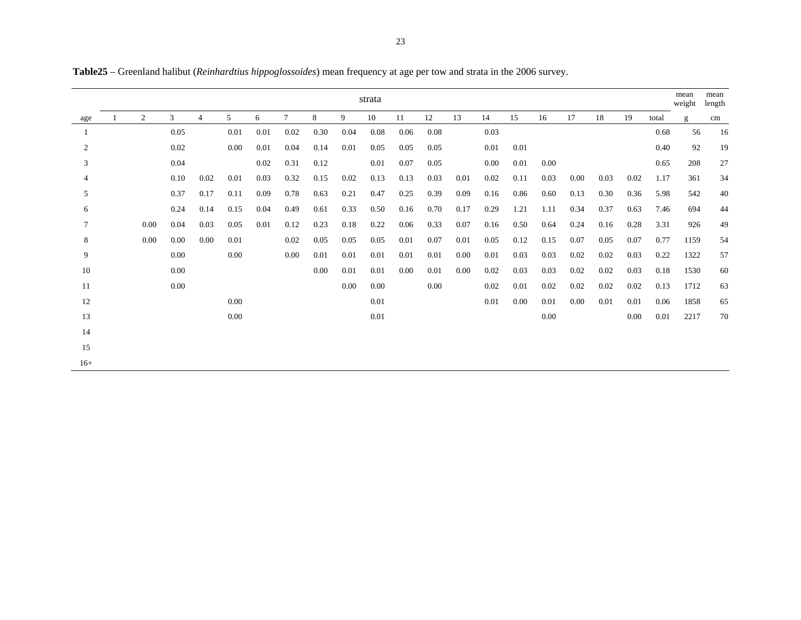|                 |                |          |                |      |      |        |      |      | strata |      |      |      |      |      |      |      |      |      |       | mean<br>weight | mean<br>length |
|-----------------|----------------|----------|----------------|------|------|--------|------|------|--------|------|------|------|------|------|------|------|------|------|-------|----------------|----------------|
| age             | $\overline{2}$ | 3        | $\overline{4}$ | 5    | 6    | $\tau$ | 8    | 9    | 10     | 11   | 12   | 13   | 14   | 15   | 16   | 17   | 18   | 19   | total | g              | cm             |
|                 |                | 0.05     |                | 0.01 | 0.01 | 0.02   | 0.30 | 0.04 | 0.08   | 0.06 | 0.08 |      | 0.03 |      |      |      |      |      | 0.68  | 56             | 16             |
| $\overline{2}$  |                | 0.02     |                | 0.00 | 0.01 | 0.04   | 0.14 | 0.01 | 0.05   | 0.05 | 0.05 |      | 0.01 | 0.01 |      |      |      |      | 0.40  | 92             | 19             |
| 3               |                | 0.04     |                |      | 0.02 | 0.31   | 0.12 |      | 0.01   | 0.07 | 0.05 |      | 0.00 | 0.01 | 0.00 |      |      |      | 0.65  | 208            | 27             |
| 4               |                | 0.10     | 0.02           | 0.01 | 0.03 | 0.32   | 0.15 | 0.02 | 0.13   | 0.13 | 0.03 | 0.01 | 0.02 | 0.11 | 0.03 | 0.00 | 0.03 | 0.02 | 1.17  | 361            | 34             |
| 5               |                | 0.37     | 0.17           | 0.11 | 0.09 | 0.78   | 0.63 | 0.21 | 0.47   | 0.25 | 0.39 | 0.09 | 0.16 | 0.86 | 0.60 | 0.13 | 0.30 | 0.36 | 5.98  | 542            | 40             |
| 6               |                | 0.24     | 0.14           | 0.15 | 0.04 | 0.49   | 0.61 | 0.33 | 0.50   | 0.16 | 0.70 | 0.17 | 0.29 | 1.21 | 1.11 | 0.34 | 0.37 | 0.63 | 7.46  | 694            | 44             |
| $7\phantom{.0}$ | 0.00           | 0.04     | 0.03           | 0.05 | 0.01 | 0.12   | 0.23 | 0.18 | 0.22   | 0.06 | 0.33 | 0.07 | 0.16 | 0.50 | 0.64 | 0.24 | 0.16 | 0.28 | 3.31  | 926            | 49             |
| 8               | 0.00           | 0.00     | 0.00           | 0.01 |      | 0.02   | 0.05 | 0.05 | 0.05   | 0.01 | 0.07 | 0.01 | 0.05 | 0.12 | 0.15 | 0.07 | 0.05 | 0.07 | 0.77  | 1159           | 54             |
| 9               |                | $0.00\,$ |                | 0.00 |      | 0.00   | 0.01 | 0.01 | 0.01   | 0.01 | 0.01 | 0.00 | 0.01 | 0.03 | 0.03 | 0.02 | 0.02 | 0.03 | 0.22  | 1322           | 57             |
| 10              |                | $0.00\,$ |                |      |      |        | 0.00 | 0.01 | 0.01   | 0.00 | 0.01 | 0.00 | 0.02 | 0.03 | 0.03 | 0.02 | 0.02 | 0.03 | 0.18  | 1530           | 60             |
| 11              |                | 0.00     |                |      |      |        |      | 0.00 | 0.00   |      | 0.00 |      | 0.02 | 0.01 | 0.02 | 0.02 | 0.02 | 0.02 | 0.13  | 1712           | 63             |
| 12              |                |          |                | 0.00 |      |        |      |      | 0.01   |      |      |      | 0.01 | 0.00 | 0.01 | 0.00 | 0.01 | 0.01 | 0.06  | 1858           | 65             |
| 13              |                |          |                | 0.00 |      |        |      |      | 0.01   |      |      |      |      |      | 0.00 |      |      | 0.00 | 0.01  | 2217           | 70             |
| 14              |                |          |                |      |      |        |      |      |        |      |      |      |      |      |      |      |      |      |       |                |                |
| 15              |                |          |                |      |      |        |      |      |        |      |      |      |      |      |      |      |      |      |       |                |                |
| $16+$           |                |          |                |      |      |        |      |      |        |      |      |      |      |      |      |      |      |      |       |                |                |

**Table25** – Greenland halibut (*Reinhardtius hippoglossoides*) mean frequency at age per tow and strata in the 2006 survey.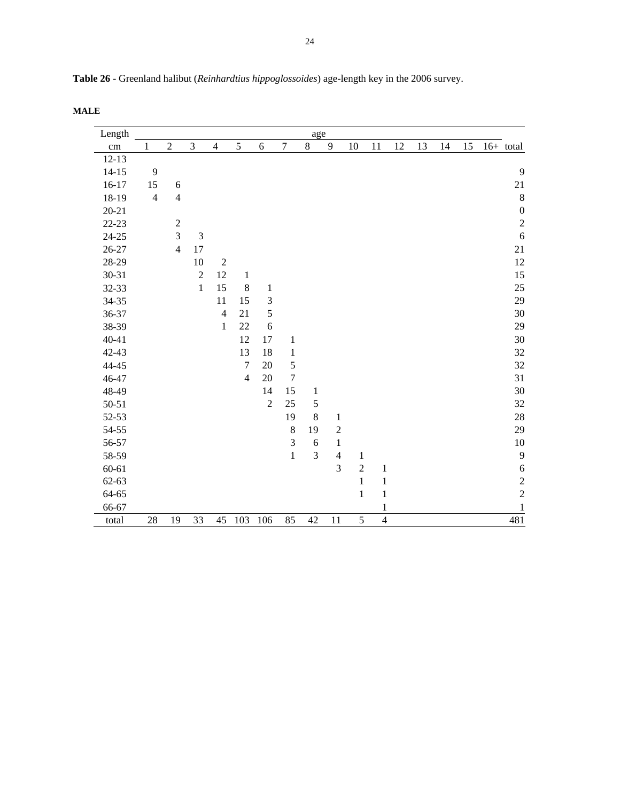| Length    |                         |                |                |                |                |                |                  | age          |                  |                |                |    |    |    |    |                  |
|-----------|-------------------------|----------------|----------------|----------------|----------------|----------------|------------------|--------------|------------------|----------------|----------------|----|----|----|----|------------------|
| cm        | $\mathbf{1}$            | $\sqrt{2}$     | $\mathfrak{Z}$ | $\overline{4}$ | 5              | $\sqrt{6}$     | $\boldsymbol{7}$ | $8\,$        | $\boldsymbol{9}$ | 10             | 11             | 12 | 13 | 14 | 15 | $16+$ total      |
| $12 - 13$ |                         |                |                |                |                |                |                  |              |                  |                |                |    |    |    |    |                  |
| $14 - 15$ | $\overline{9}$          |                |                |                |                |                |                  |              |                  |                |                |    |    |    |    | 9                |
| $16-17$   | 15                      | $\sqrt{6}$     |                |                |                |                |                  |              |                  |                |                |    |    |    |    | 21               |
| 18-19     | $\overline{\mathbf{4}}$ | $\overline{4}$ |                |                |                |                |                  |              |                  |                |                |    |    |    |    | $\,8\,$          |
| $20 - 21$ |                         |                |                |                |                |                |                  |              |                  |                |                |    |    |    |    | $\boldsymbol{0}$ |
| $22 - 23$ |                         | $\sqrt{2}$     |                |                |                |                |                  |              |                  |                |                |    |    |    |    | $\overline{c}$   |
| $24 - 25$ |                         | 3              | $\mathfrak{Z}$ |                |                |                |                  |              |                  |                |                |    |    |    |    | $\sqrt{6}$       |
| $26 - 27$ |                         | $\overline{4}$ | 17             |                |                |                |                  |              |                  |                |                |    |    |    |    | $21\,$           |
| 28-29     |                         |                | $10\,$         | $\sqrt{2}$     |                |                |                  |              |                  |                |                |    |    |    |    | 12               |
| 30-31     |                         |                | $\sqrt{2}$     | 12             | $\,1\,$        |                |                  |              |                  |                |                |    |    |    |    | 15               |
| 32-33     |                         |                | $\mathbf{1}$   | 15             | $\,8\,$        | $\mathbf{1}$   |                  |              |                  |                |                |    |    |    |    | 25               |
| 34-35     |                         |                |                | 11             | 15             | $\mathfrak{Z}$ |                  |              |                  |                |                |    |    |    |    | 29               |
| 36-37     |                         |                |                | $\overline{4}$ | 21             | 5              |                  |              |                  |                |                |    |    |    |    | 30               |
| 38-39     |                         |                |                | $\,1\,$        | 22             | $\sqrt{6}$     |                  |              |                  |                |                |    |    |    |    | 29               |
| $40 - 41$ |                         |                |                |                | 12             | $17\,$         | $\,1\,$          |              |                  |                |                |    |    |    |    | 30               |
| 42-43     |                         |                |                |                | 13             | 18             | $\,1$            |              |                  |                |                |    |    |    |    | 32               |
| 44-45     |                         |                |                |                | $\tau$         | 20             | 5                |              |                  |                |                |    |    |    |    | $32\,$           |
| 46-47     |                         |                |                |                | $\overline{4}$ | 20             | $\boldsymbol{7}$ |              |                  |                |                |    |    |    |    | 31               |
| 48-49     |                         |                |                |                |                | 14             | 15               | $\mathbf{1}$ |                  |                |                |    |    |    |    | 30               |
| 50-51     |                         |                |                |                |                | $\sqrt{2}$     | 25               | 5            |                  |                |                |    |    |    |    | $32\,$           |
| 52-53     |                         |                |                |                |                |                | 19               | $\bf 8$      | $\mathbf 1$      |                |                |    |    |    |    | $28\,$           |
| 54-55     |                         |                |                |                |                |                | $\,$ 8 $\,$      | 19           | $\overline{c}$   |                |                |    |    |    |    | 29               |
| 56-57     |                         |                |                |                |                |                | $\overline{3}$   | 6            | $\,1$            |                |                |    |    |    |    | 10               |
| 58-59     |                         |                |                |                |                |                | $\mathbf{1}$     | 3            | $\overline{4}$   | $\mathbf{1}$   |                |    |    |    |    | $\mathbf{9}$     |
| $60 - 61$ |                         |                |                |                |                |                |                  |              | $\overline{3}$   | $\overline{c}$ | $\mathbf 1$    |    |    |    |    | $\sqrt{6}$       |
| $62 - 63$ |                         |                |                |                |                |                |                  |              |                  | $\mathbf{1}$   | $\mathbf{1}$   |    |    |    |    | $\overline{c}$   |
| 64-65     |                         |                |                |                |                |                |                  |              |                  | $\mathbf{1}$   | $\mathbf{1}$   |    |    |    |    | $\overline{c}$   |
| 66-67     |                         |                |                |                |                |                |                  |              |                  |                | $\mathbf{1}$   |    |    |    |    | $\mathbf 1$      |
| total     | 28                      | 19             | 33             | 45             | 103            | 106            | 85               | 42           | 11               | 5              | $\overline{4}$ |    |    |    |    | 481              |

**Table 26** - Greenland halibut (*Reinhardtius hippoglossoides*) age-length key in the 2006 survey.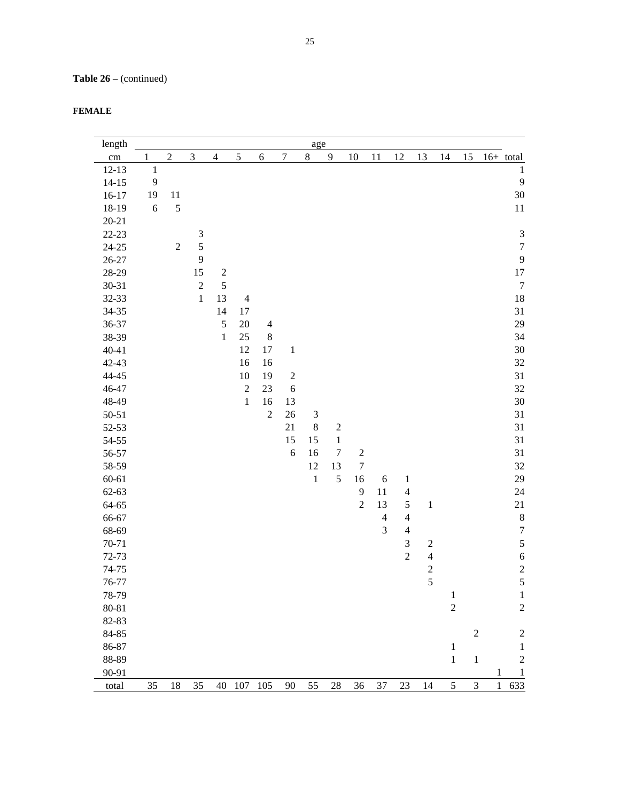**Table 26** – (continued)

| <b>FEMALE</b> |
|---------------|
|---------------|

| length             |              |                |                |                  |                |                |                  | age            |                        |                                |                |                                |                         |                |               |                              |
|--------------------|--------------|----------------|----------------|------------------|----------------|----------------|------------------|----------------|------------------------|--------------------------------|----------------|--------------------------------|-------------------------|----------------|---------------|------------------------------|
| cm                 | 1            | $\overline{2}$ | $\mathfrak{Z}$ | $\overline{4}$   | 5              | 6              | $\overline{7}$   | $\,8\,$        | $\overline{9}$         | 10                             | 11             | 12                             | 13                      | 14             | 15            | $16+$ total                  |
| $12 - 13$          | $\mathbf{1}$ |                |                |                  |                |                |                  |                |                        |                                |                |                                |                         |                |               | 1                            |
| $14 - 15$          | 9            |                |                |                  |                |                |                  |                |                        |                                |                |                                |                         |                |               | 9                            |
| $16 - 17$          | 19           | 11             |                |                  |                |                |                  |                |                        |                                |                |                                |                         |                |               | $30\,$                       |
| 18-19              | 6            | 5              |                |                  |                |                |                  |                |                        |                                |                |                                |                         |                |               | 11                           |
| $20 - 21$          |              |                |                |                  |                |                |                  |                |                        |                                |                |                                |                         |                |               |                              |
| 22-23              |              |                | $\mathfrak{Z}$ |                  |                |                |                  |                |                        |                                |                |                                |                         |                |               | $\ensuremath{\mathfrak{Z}}$  |
| $24 - 25$          |              | $\mathbf{2}$   | 5              |                  |                |                |                  |                |                        |                                |                |                                |                         |                |               | $\boldsymbol{7}$             |
| $26 - 27$          |              |                | 9              |                  |                |                |                  |                |                        |                                |                |                                |                         |                |               | 9                            |
| 28-29              |              |                | 15             | $\boldsymbol{2}$ |                |                |                  |                |                        |                                |                |                                |                         |                |               | 17                           |
| 30-31              |              |                | $\sqrt{2}$     | 5                |                |                |                  |                |                        |                                |                |                                |                         |                |               | $\boldsymbol{7}$             |
| 32-33              |              |                | $\,1$          | 13               | $\overline{4}$ |                |                  |                |                        |                                |                |                                |                         |                |               | 18                           |
| 34-35              |              |                |                | 14               | 17             |                |                  |                |                        |                                |                |                                |                         |                |               | 31                           |
| 36-37              |              |                |                | 5                | 20             | $\overline{4}$ |                  |                |                        |                                |                |                                |                         |                |               | 29                           |
| 38-39              |              |                |                | $\mathbf{1}$     | 25             | $\bf 8$        |                  |                |                        |                                |                |                                |                         |                |               | 34                           |
| $40 - 41$          |              |                |                |                  | 12             | 17             | $\,1$            |                |                        |                                |                |                                |                         |                |               | $30\,$                       |
| $42 - 43$          |              |                |                |                  | 16             | 16             |                  |                |                        |                                |                |                                |                         |                |               | 32                           |
| 44-45              |              |                |                |                  | 10             | 19             | $\boldsymbol{2}$ |                |                        |                                |                |                                |                         |                |               | 31                           |
| 46-47              |              |                |                |                  | $\sqrt{2}$     | 23             | 6                |                |                        |                                |                |                                |                         |                |               | 32                           |
| 48-49              |              |                |                |                  | $\,1$          | 16             | 13               |                |                        |                                |                |                                |                         |                |               | 30                           |
| $50 - 51$          |              |                |                |                  |                | $\sqrt{2}$     | 26               | $\mathfrak{Z}$ |                        |                                |                |                                |                         |                |               | 31                           |
| 52-53              |              |                |                |                  |                |                | 21               | $\bf 8$        | $\boldsymbol{2}$       |                                |                |                                |                         |                |               | 31                           |
| $54 - 55$          |              |                |                |                  |                |                | 15<br>6          | 15             | $\,1$                  |                                |                |                                |                         |                |               | 31                           |
| 56-57              |              |                |                |                  |                |                |                  | 16<br>12       | $\boldsymbol{7}$<br>13 | $\sqrt{2}$<br>$\boldsymbol{7}$ |                |                                |                         |                |               | 31<br>32                     |
| 58-59<br>$60 - 61$ |              |                |                |                  |                |                |                  | $\mathbf 1$    | 5                      | 16                             | $\sqrt{6}$     |                                |                         |                |               | 29                           |
| $62 - 63$          |              |                |                |                  |                |                |                  |                |                        | $\overline{9}$                 | 11             | $\mathbf{1}$<br>$\overline{4}$ |                         |                |               | 24                           |
| 64-65              |              |                |                |                  |                |                |                  |                |                        | $\overline{2}$                 | 13             | $\mathfrak s$                  | $\,1\,$                 |                |               | 21                           |
| 66-67              |              |                |                |                  |                |                |                  |                |                        |                                | $\overline{4}$ | $\overline{4}$                 |                         |                |               | $\,$ 8 $\,$                  |
| 68-69              |              |                |                |                  |                |                |                  |                |                        |                                | $\mathfrak{Z}$ | $\overline{4}$                 |                         |                |               | $\boldsymbol{7}$             |
| 70-71              |              |                |                |                  |                |                |                  |                |                        |                                |                | 3                              | $\overline{c}$          |                |               | 5                            |
| 72-73              |              |                |                |                  |                |                |                  |                |                        |                                |                | $\overline{2}$                 | $\overline{4}$          |                |               | $\overline{6}$               |
| 74-75              |              |                |                |                  |                |                |                  |                |                        |                                |                |                                | $\overline{\mathbf{c}}$ |                |               |                              |
| 76-77              |              |                |                |                  |                |                |                  |                |                        |                                |                |                                | 5                       |                |               | $\frac{2}{5}$                |
| 78-79              |              |                |                |                  |                |                |                  |                |                        |                                |                |                                |                         | $\mathbf{1}$   |               | $\mathbf{1}$                 |
| 80-81              |              |                |                |                  |                |                |                  |                |                        |                                |                |                                |                         | $\overline{c}$ |               | $\sqrt{2}$                   |
| 82-83              |              |                |                |                  |                |                |                  |                |                        |                                |                |                                |                         |                |               |                              |
| 84-85              |              |                |                |                  |                |                |                  |                |                        |                                |                |                                |                         |                | $\sqrt{2}$    | $\boldsymbol{2}$             |
| 86-87              |              |                |                |                  |                |                |                  |                |                        |                                |                |                                |                         | $\,1\,$        |               | $\,1\,$                      |
| 88-89              |              |                |                |                  |                |                |                  |                |                        |                                |                |                                |                         | $\mathbf 1$    | $\,1\,$       | $\sqrt{2}$                   |
| 90-91              |              |                |                |                  |                |                |                  |                |                        |                                |                |                                |                         |                |               | $\mathbf{1}$<br>$\mathbf{1}$ |
| total              | 35           | 18             | 35             | 40               | 107            | 105            | 90               | 55             | 28                     | 36                             | 37             | 23                             | 14                      | 5              | $\mathfrak 3$ | 633<br>$\mathbf{1}$          |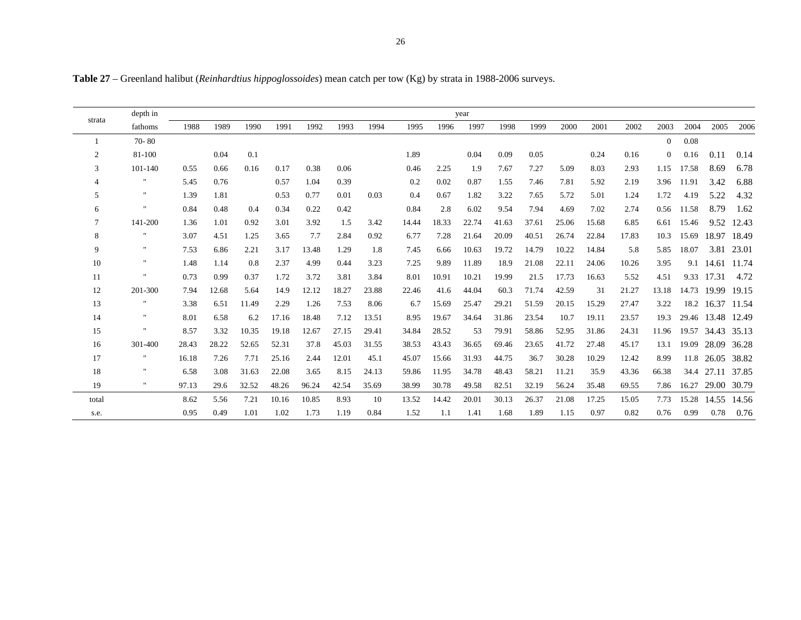**Table 27** – Greenland halibut (*Reinhardtius hippoglossoides*) mean catch per tow (Kg) by strata in 1988-2006 surveys.

|                | depth in       |       |       |       |       |       |       |       |       |       | year  |       |       |       |       |       |          |       |                   |       |
|----------------|----------------|-------|-------|-------|-------|-------|-------|-------|-------|-------|-------|-------|-------|-------|-------|-------|----------|-------|-------------------|-------|
| strata         | fathoms        | 1988  | 1989  | 1990  | 1991  | 1992  | 1993  | 1994  | 1995  | 1996  | 1997  | 1998  | 1999  | 2000  | 2001  | 2002  | 2003     | 2004  | 2005              | 2006  |
|                | 70-80          |       |       |       |       |       |       |       |       |       |       |       |       |       |       |       | $\Omega$ | 0.08  |                   |       |
| $\overline{c}$ | 81-100         |       | 0.04  | 0.1   |       |       |       |       | 1.89  |       | 0.04  | 0.09  | 0.05  |       | 0.24  | 0.16  | $\Omega$ | 0.16  | 0.11              | 0.14  |
| 3              | 101-140        | 0.55  | 0.66  | 0.16  | 0.17  | 0.38  | 0.06  |       | 0.46  | 2.25  | 1.9   | 7.67  | 7.27  | 5.09  | 8.03  | 2.93  | 1.15     | 17.58 | 8.69              | 6.78  |
| 4              | 11             | 5.45  | 0.76  |       | 0.57  | 1.04  | 0.39  |       | 0.2   | 0.02  | 0.87  | 1.55  | 7.46  | 7.81  | 5.92  | 2.19  | 3.96     | 11.91 | 3.42              | 6.88  |
| 5              | $\mathbf{H}$   | 1.39  | 1.81  |       | 0.53  | 0.77  | 0.01  | 0.03  | 0.4   | 0.67  | 1.82  | 3.22  | 7.65  | 5.72  | 5.01  | 1.24  | 1.72     | 4.19  | 5.22              | 4.32  |
| 6              | $\mathbf{H}$   | 0.84  | 0.48  | 0.4   | 0.34  | 0.22  | 0.42  |       | 0.84  | 2.8   | 6.02  | 9.54  | 7.94  | 4.69  | 7.02  | 2.74  | 0.56     | 11.58 | 8.79              | 1.62  |
| 7              | 141-200        | 1.36  | 1.01  | 0.92  | 3.01  | 3.92  | 1.5   | 3.42  | 14.44 | 18.33 | 22.74 | 41.63 | 37.61 | 25.06 | 15.68 | 6.85  | 6.61     | 15.46 | 9.52              | 12.43 |
| 8              | 11             | 3.07  | 4.51  | 1.25  | 3.65  | 7.7   | 2.84  | 0.92  | 6.77  | 7.28  | 21.64 | 20.09 | 40.51 | 26.74 | 22.84 | 17.83 | 10.3     | 15.69 | 18.97 18.49       |       |
| 9              | $\mathbf{H}$   | 7.53  | 6.86  | 2.21  | 3.17  | 13.48 | 1.29  | 1.8   | 7.45  | 6.66  | 10.63 | 19.72 | 14.79 | 10.22 | 14.84 | 5.8   | 5.85     | 18.07 | 3.81              | 23.01 |
| 10             | $\mathbf{H}$   | 1.48  | 1.14  | 0.8   | 2.37  | 4.99  | 0.44  | 3.23  | 7.25  | 9.89  | 11.89 | 18.9  | 21.08 | 22.11 | 24.06 | 10.26 | 3.95     |       | 9.1 14.61         | 11.74 |
| 11             | $\blacksquare$ | 0.73  | 0.99  | 0.37  | 1.72  | 3.72  | 3.81  | 3.84  | 8.01  | 10.91 | 10.21 | 19.99 | 21.5  | 17.73 | 16.63 | 5.52  | 4.51     | 9.33  | 17.31             | 4.72  |
| 12             | 201-300        | 7.94  | 12.68 | 5.64  | 14.9  | 12.12 | 18.27 | 23.88 | 22.46 | 41.6  | 44.04 | 60.3  | 71.74 | 42.59 | 31    | 21.27 | 13.18    | 14.73 | 19.99             | 19.15 |
| 13             | $\blacksquare$ | 3.38  | 6.51  | 11.49 | 2.29  | 1.26  | 7.53  | 8.06  | 6.7   | 15.69 | 25.47 | 29.21 | 51.59 | 20.15 | 15.29 | 27.47 | 3.22     |       | 18.2 16.37        | 11.54 |
| 14             | $\mathbf{H}$   | 8.01  | 6.58  | 6.2   | 17.16 | 18.48 | 7.12  | 13.51 | 8.95  | 19.67 | 34.64 | 31.86 | 23.54 | 10.7  | 19.11 | 23.57 | 19.3     |       | 29.46 13.48       | 12.49 |
| 15             | $^{\prime}$    | 8.57  | 3.32  | 10.35 | 19.18 | 12.67 | 27.15 | 29.41 | 34.84 | 28.52 | 53    | 79.91 | 58.86 | 52.95 | 31.86 | 24.31 | 11.96    |       | 19.57 34.43 35.13 |       |
| 16             | 301-400        | 28.43 | 28.22 | 52.65 | 52.31 | 37.8  | 45.03 | 31.55 | 38.53 | 43.43 | 36.65 | 69.46 | 23.65 | 41.72 | 27.48 | 45.17 | 13.1     | 19.09 | 28.09 36.28       |       |
| 17             | .,             | 16.18 | 7.26  | 7.71  | 25.16 | 2.44  | 12.01 | 45.1  | 45.07 | 15.66 | 31.93 | 44.75 | 36.7  | 30.28 | 10.29 | 12.42 | 8.99     |       | 11.8 26.05        | 38.82 |
| 18             | $\mathbf{H}$   | 6.58  | 3.08  | 31.63 | 22.08 | 3.65  | 8.15  | 24.13 | 59.86 | 11.95 | 34.78 | 48.43 | 58.21 | 11.21 | 35.9  | 43.36 | 66.38    | 34.4  | 27.11             | 37.85 |
| 19             | $\mathbf{H}$   | 97.13 | 29.6  | 32.52 | 48.26 | 96.24 | 42.54 | 35.69 | 38.99 | 30.78 | 49.58 | 82.51 | 32.19 | 56.24 | 35.48 | 69.55 | 7.86     | 16.27 | 29.00 30.79       |       |
| total          |                | 8.62  | 5.56  | 7.21  | 10.16 | 10.85 | 8.93  | 10    | 13.52 | 14.42 | 20.01 | 30.13 | 26.37 | 21.08 | 17.25 | 15.05 | 7.73     | 15.28 | 14.55             | 14.56 |
| s.e.           |                | 0.95  | 0.49  | 1.01  | 1.02  | 1.73  | 1.19  | 0.84  | 1.52  | 1.1   | 1.41  | 1.68  | 1.89  | 1.15  | 0.97  | 0.82  | 0.76     | 0.99  | 0.78              | 0.76  |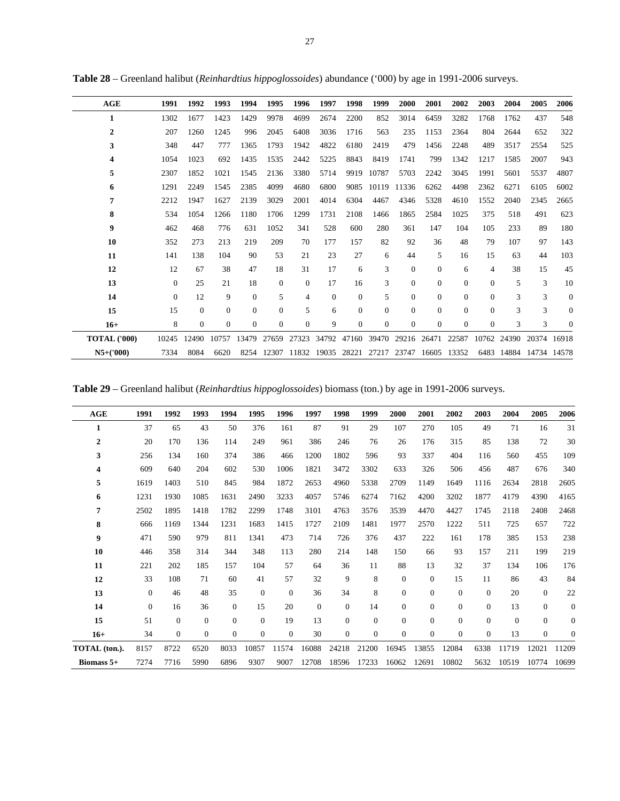| AGE                 | 1991     | 1992         | 1993         | 1994         | 1995           | 1996           | 1997         | 1998           | 1999     | 2000     | 2001     | 2002     | 2003           | 2004  | 2005        | 2006           |
|---------------------|----------|--------------|--------------|--------------|----------------|----------------|--------------|----------------|----------|----------|----------|----------|----------------|-------|-------------|----------------|
| 1                   | 1302     | 1677         | 1423         | 1429         | 9978           | 4699           | 2674         | 2200           | 852      | 3014     | 6459     | 3282     | 1768           | 1762  | 437         | 548            |
| $\overline{2}$      | 207      | 1260         | 1245         | 996          | 2045           | 6408           | 3036         | 1716           | 563      | 235      | 1153     | 2364     | 804            | 2644  | 652         | 322            |
| 3                   | 348      | 447          | 777          | 1365         | 1793           | 1942           | 4822         | 6180           | 2419     | 479      | 1456     | 2248     | 489            | 3517  | 2554        | 525            |
| 4                   | 1054     | 1023         | 692          | 1435         | 1535           | 2442           | 5225         | 8843           | 8419     | 1741     | 799      | 1342     | 1217           | 1585  | 2007        | 943            |
| 5                   | 2307     | 1852         | 1021         | 1545         | 2136           | 3380           | 5714         | 9919           | 10787    | 5703     | 2242     | 3045     | 1991           | 5601  | 5537        | 4807           |
| 6                   | 1291     | 2249         | 1545         | 2385         | 4099           | 4680           | 6800         | 9085           | 10119    | 11336    | 6262     | 4498     | 2362           | 6271  | 6105        | 6002           |
| 7                   | 2212     | 1947         | 1627         | 2139         | 3029           | 2001           | 4014         | 6304           | 4467     | 4346     | 5328     | 4610     | 1552           | 2040  | 2345        | 2665           |
| 8                   | 534      | 1054         | 1266         | 1180         | 1706           | 1299           | 1731         | 2108           | 1466     | 1865     | 2584     | 1025     | 375            | 518   | 491         | 623            |
| $\boldsymbol{9}$    | 462      | 468          | 776          | 631          | 1052           | 341            | 528          | 600            | 280      | 361      | 147      | 104      | 105            | 233   | 89          | 180            |
| 10                  | 352      | 273          | 213          | 219          | 209            | 70             | 177          | 157            | 82       | 92       | 36       | 48       | 79             | 107   | 97          | 143            |
| 11                  | 141      | 138          | 104          | 90           | 53             | 21             | 23           | 27             | 6        | 44       | 5        | 16       | 15             | 63    | 44          | 103            |
| 12                  | 12       | 67           | 38           | 47           | 18             | 31             | 17           | 6              | 3        | $\Omega$ | $\Omega$ | 6        | $\overline{4}$ | 38    | 15          | 45             |
| 13                  | $\theta$ | 25           | 21           | 18           | $\theta$       | $\mathbf{0}$   | 17           | 16             | 3        | $\Omega$ | $\Omega$ | $\Omega$ | $\Omega$       | 5     | 3           | 10             |
| 14                  | $\theta$ | 12           | 9            | $\mathbf{0}$ | 5              | $\overline{4}$ | $\mathbf{0}$ | $\overline{0}$ | 5        | $\Omega$ | $\Omega$ | $\Omega$ | $\mathbf{0}$   | 3     | 3           | $\overline{0}$ |
| 15                  | 15       | $\Omega$     | $\Omega$     | $\Omega$     | $\Omega$       | 5              | 6            | $\Omega$       | $\Omega$ | $\Omega$ | $\Omega$ | $\Omega$ | $\Omega$       | 3     | 3           | $\overline{0}$ |
| $16+$               | 8        | $\mathbf{0}$ | $\mathbf{0}$ | $\mathbf{0}$ | $\overline{0}$ | $\mathbf{0}$   | 9            | $\Omega$       | $\Omega$ | $\Omega$ | $\Omega$ | $\Omega$ | $\Omega$       | 3     | 3           | $\theta$       |
| <b>TOTAL ('000)</b> | 10245    | 12490        | 10757        | 13479        | 27659          | 27323          | 34792        | 47160          | 39470    | 29216    | 26471    | 22587    | 10762          | 24390 | 20374       | 16918          |
| $N5+(000)$          | 7334     | 8084         | 6620         | 8254         | 12307          | 11832          | 19035        | 28221          | 27217    | 23747    | 16605    | 13352    | 6483           | 14884 | 14734 14578 |                |

**Table 28** – Greenland halibut (*Reinhardtius hippoglossoides*) abundance ('000) by age in 1991-2006 surveys.

**Table 29** – Greenland halibut (*Reinhardtius hippoglossoides*) biomass (ton.) by age in 1991-2006 surveys.

| AGE           | 1991     | 1992           | 1993           | 1994           | 1995         | 1996         | 1997         | 1998     | 1999         | 2000           | 2001           | 2002           | 2003           | 2004             | 2005           | 2006             |
|---------------|----------|----------------|----------------|----------------|--------------|--------------|--------------|----------|--------------|----------------|----------------|----------------|----------------|------------------|----------------|------------------|
| 1             | 37       | 65             | 43             | 50             | 376          | 161          | 87           | 91       | 29           | 107            | 270            | 105            | 49             | 71               | 16             | 31               |
| 2             | 20       | 170            | 136            | 114            | 249          | 961          | 386          | 246      | 76           | 26             | 176            | 315            | 85             | 138              | 72             | 30               |
| 3             | 256      | 134            | 160            | 374            | 386          | 466          | 1200         | 1802     | 596          | 93             | 337            | 404            | 116            | 560              | 455            | 109              |
| 4             | 609      | 640            | 204            | 602            | 530          | 1006         | 1821         | 3472     | 3302         | 633            | 326            | 506            | 456            | 487              | 676            | 340              |
| 5             | 1619     | 1403           | 510            | 845            | 984          | 1872         | 2653         | 4960     | 5338         | 2709           | 1149           | 1649           | 1116           | 2634             | 2818           | 2605             |
| 6             | 1231     | 1930           | 1085           | 1631           | 2490         | 3233         | 4057         | 5746     | 6274         | 7162           | 4200           | 3202           | 1877           | 4179             | 4390           | 4165             |
| 7             | 2502     | 1895           | 1418           | 1782           | 2299         | 1748         | 3101         | 4763     | 3576         | 3539           | 4470           | 4427           | 1745           | 2118             | 2408           | 2468             |
| 8             | 666      | 1169           | 1344           | 1231           | 1683         | 1415         | 1727         | 2109     | 1481         | 1977           | 2570           | 1222           | 511            | 725              | 657            | 722              |
| 9             | 471      | 590            | 979            | 811            | 1341         | 473          | 714          | 726      | 376          | 437            | 222            | 161            | 178            | 385              | 153            | 238              |
| 10            | 446      | 358            | 314            | 344            | 348          | 113          | 280          | 214      | 148          | 150            | 66             | 93             | 157            | 211              | 199            | 219              |
| 11            | 221      | 202            | 185            | 157            | 104          | 57           | 64           | 36       | 11           | 88             | 13             | 32             | 37             | 134              | 106            | 176              |
| 12            | 33       | 108            | 71             | 60             | 41           | 57           | 32           | 9        | 8            | $\mathbf{0}$   | $\theta$       | 15             | 11             | 86               | 43             | 84               |
| 13            | $\Omega$ | 46             | 48             | 35             | $\mathbf{0}$ | $\mathbf{0}$ | 36           | 34       | 8            | $\overline{0}$ | $\overline{0}$ | $\mathbf{0}$   | $\mathbf{0}$   | 20               | $\mathbf{0}$   | 22               |
| 14            | $\Omega$ | 16             | 36             | $\mathbf{0}$   | 15           | 20           | $\mathbf{0}$ | $\Omega$ | 14           | $\mathbf{0}$   | $\overline{0}$ | $\overline{0}$ | $\overline{0}$ | 13               | $\overline{0}$ | $\boldsymbol{0}$ |
| 15            | 51       | $\mathbf{0}$   | $\mathbf{0}$   | $\overline{0}$ | $\mathbf{0}$ | 19           | 13           | $\Omega$ | $\mathbf{0}$ | $\Omega$       | $\mathbf{0}$   | $\Omega$       | $\overline{0}$ | $\boldsymbol{0}$ | $\overline{0}$ | $\overline{0}$   |
| $16+$         | 34       | $\overline{0}$ | $\overline{0}$ | $\overline{0}$ | $\mathbf{0}$ | $\mathbf{0}$ | 30           | $\Omega$ | $\mathbf{0}$ | $\mathbf{0}$   | $\mathbf{0}$   | $\overline{0}$ | $\overline{0}$ | 13               | $\overline{0}$ | $\overline{0}$   |
| TOTAL (ton.). | 8157     | 8722           | 6520           | 8033           | 10857        | 11574        | 16088        | 24218    | 21200        | 16945          | 13855          | 12084          | 6338           | 11719            | 12021          | 11209            |
| Biomass $5+$  | 7274     | 7716           | 5990           | 6896           | 9307         | 9007         | 12708        | 18596    | 17233        | 16062          | 12691          | 10802          | 5632           | 10519            | 10774          | 10699            |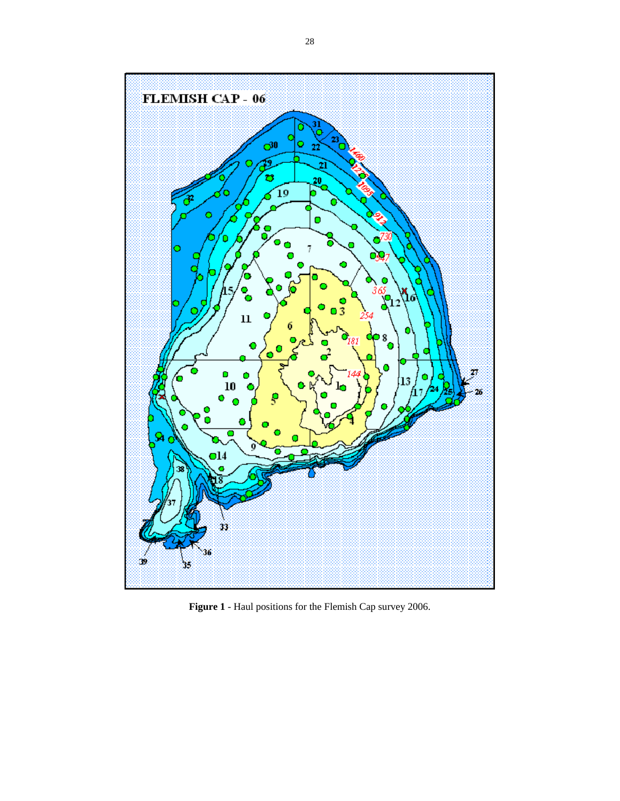

**Figure 1** - Haul positions for the Flemish Cap survey 2006.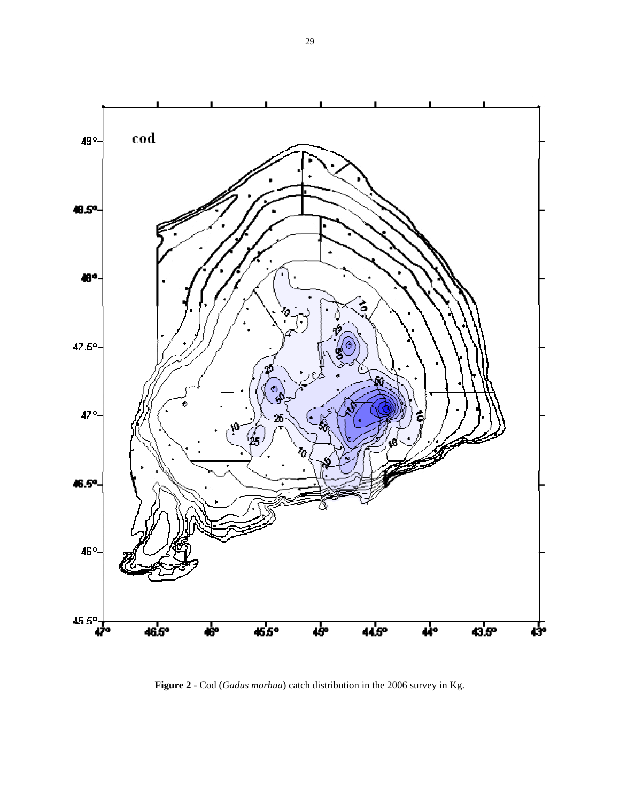

**Figure 2** - Cod (*Gadus morhua*) catch distribution in the 2006 survey in Kg.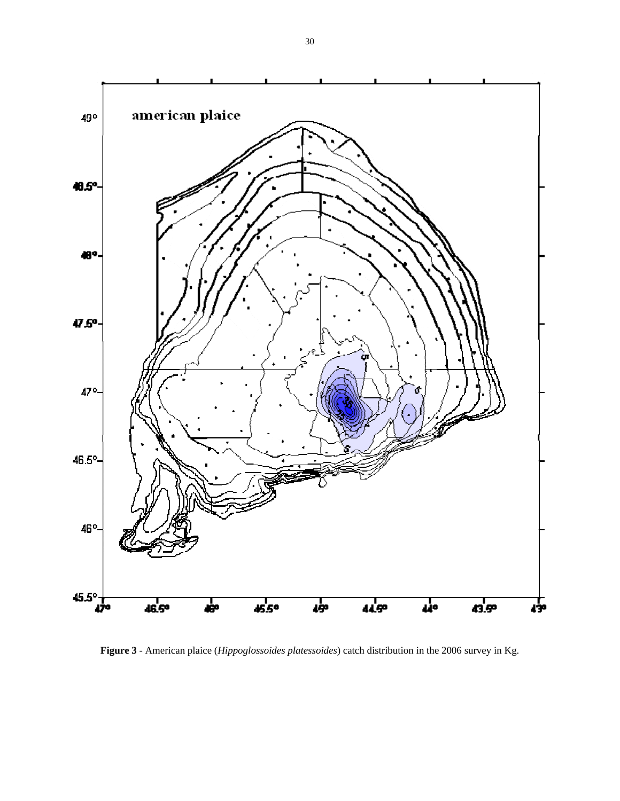

**Figure 3** - American plaice (*Hippoglossoides platessoides*) catch distribution in the 2006 survey in Kg.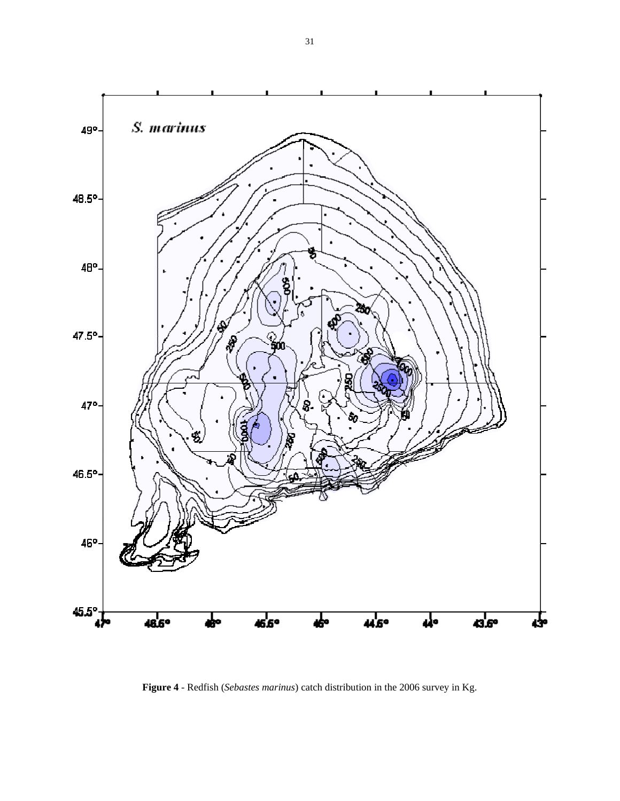

**Figure 4** - Redfish (*Sebastes marinus*) catch distribution in the 2006 survey in Kg.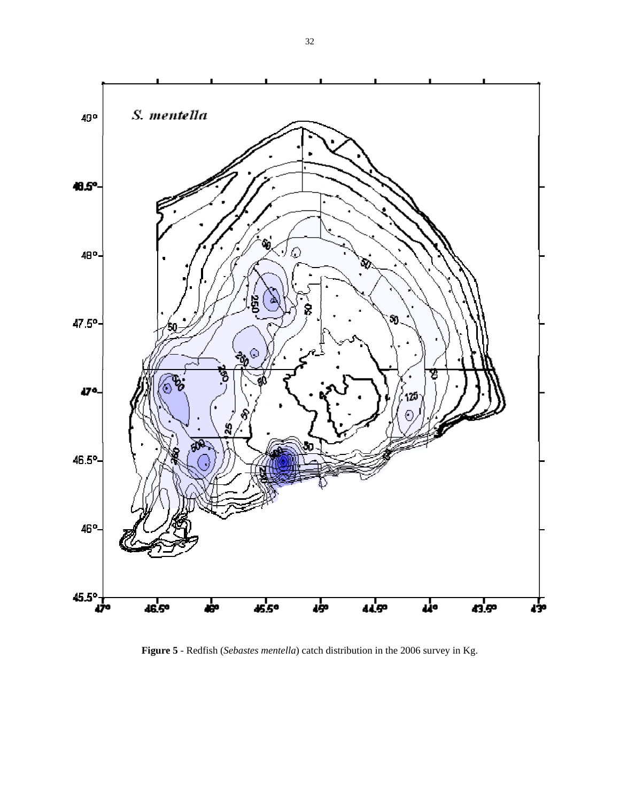

**Figure 5** - Redfish (*Sebastes mentella*) catch distribution in the 2006 survey in Kg.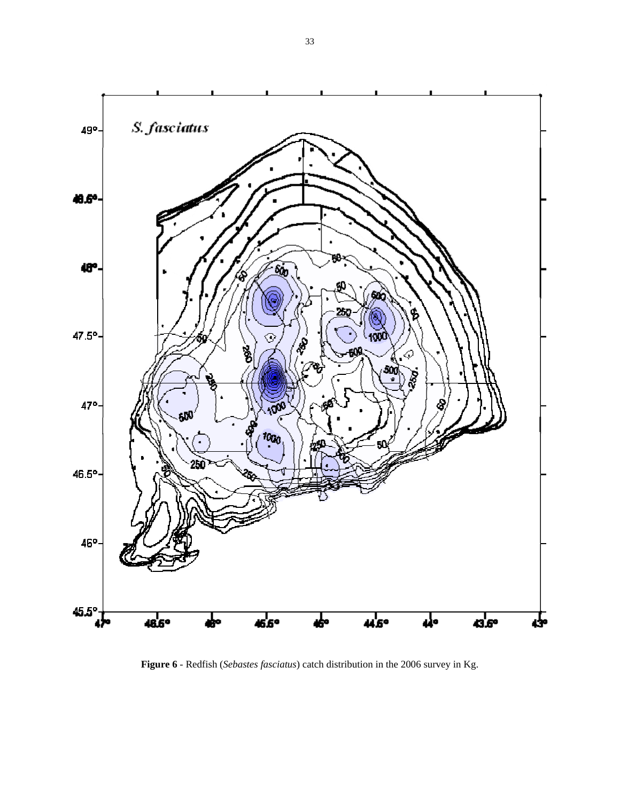

**Figure 6** - Redfish (*Sebastes fasciatus*) catch distribution in the 2006 survey in Kg.